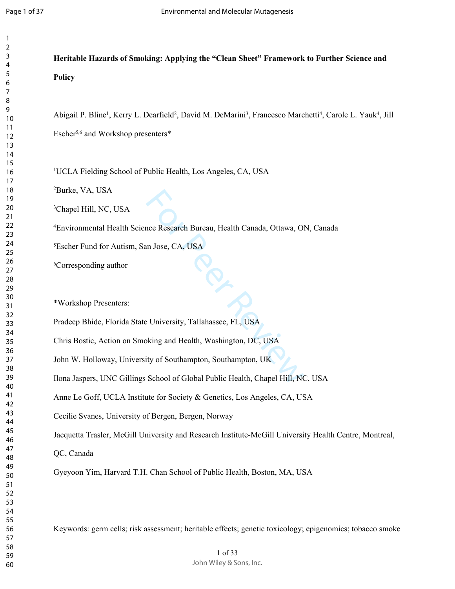**Heritable Hazards of Smoking: Applying the "Clean Sheet" Framework to Further Science and** 

| 1               |  |
|-----------------|--|
| 2               |  |
| 3               |  |
| 4               |  |
| 5               |  |
| 6               |  |
|                 |  |
| 8               |  |
| 9               |  |
| 10              |  |
| 11              |  |
| 12              |  |
| 13              |  |
| $\overline{14}$ |  |
| 15              |  |
| 16              |  |
| 1               |  |
| 18              |  |
| 19              |  |
| 20              |  |
| $\overline{21}$ |  |
| $^{22}$         |  |
| 23              |  |
| $^{24}$         |  |
| 25              |  |
| 26              |  |
| 27              |  |
| 28              |  |
| 29              |  |
| 30              |  |
| 31              |  |
| 32              |  |
| 33              |  |
| 34              |  |
| 35              |  |
| 36              |  |
| 37              |  |
| R۶              |  |
| 39              |  |
| 40              |  |
| 41              |  |
| 42              |  |
| 43              |  |
| 44              |  |
| 45              |  |
| 46              |  |
| 47              |  |
| 48              |  |
| 49              |  |
| 50              |  |
| 51              |  |
| 52              |  |
| 53              |  |
| 54              |  |
| 55              |  |
| 56              |  |
| 57              |  |
| 58              |  |
| 59              |  |
| 60              |  |
|                 |  |

Review Review Marketth Canada, Ottawa, Ol<br>
In Jose, CA, USA<br>
P. University, Tallahassee, FL, USA<br>
Ring and Health, Washington, DC, USA<br>
Rity of Southampton, Southampton, UK<br>
School of Global Public Health, Chapel Hill, NG **Policy** Abigail P. Bline<sup>1</sup>, Kerry L. Dearfield<sup>2</sup>, David M. DeMarini<sup>3</sup>, Francesco Marchetti<sup>4</sup>, Carole L. Yauk<sup>4</sup>, Jill Escher5,6 and Workshop presenters\* UCLA Fielding School of Public Health, Los Angeles, CA, USA Burke, VA, USA Chapel Hill, NC, USA

Environmental Health Science Research Bureau, Health Canada, Ottawa, ON, Canada

Escher Fund for Autism, San Jose, CA, USA

Corresponding author

\*Workshop Presenters:

Pradeep Bhide, Florida State University, Tallahassee, FL, USA

Chris Bostic, Action on Smoking and Health, Washington, DC, USA

John W. Holloway, University of Southampton, Southampton, UK

Ilona Jaspers, UNC Gillings School of Global Public Health, Chapel Hill, NC, USA

Anne Le Goff, UCLA Institute for Society & Genetics, Los Angeles, CA, USA

Cecilie Svanes, University of Bergen, Bergen, Norway

Jacquetta Trasler, McGill University and Research Institute-McGill University Health Centre, Montreal,

QC, Canada

Gyeyoon Yim, Harvard T.H. Chan School of Public Health, Boston, MA, USA

Keywords: germ cells; risk assessment; heritable effects; genetic toxicology; epigenomics; tobacco smoke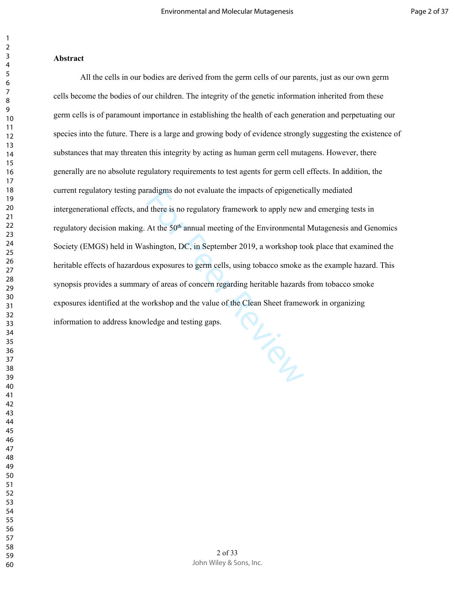### **Abstract**

PL-SOL All the cells in our bodies are derived from the germ cells of our parents, just as our own germ cells become the bodies of our children. The integrity of the genetic information inherited from these germ cells is of paramount importance in establishing the health of each generation and perpetuating our species into the future. There is a large and growing body of evidence strongly suggesting the existence of substances that may threaten this integrity by acting as human germ cell mutagens. However, there generally are no absolute regulatory requirements to test agents for germ cell effects. In addition, the current regulatory testing paradigms do not evaluate the impacts of epigenetically mediated intergenerational effects, and there is no regulatory framework to apply new and emerging tests in regulatory decision making. At the 50<sup>th</sup> annual meeting of the Environmental Mutagenesis and Genomics Society (EMGS) held in Washington, DC, in September 2019, a workshop took place that examined the heritable effects of hazardous exposures to germ cells, using tobacco smoke as the example hazard. This synopsis provides a summary of areas of concern regarding heritable hazards from tobacco smoke exposures identified at the workshop and the value of the Clean Sheet framework in organizing information to address knowledge and testing gaps.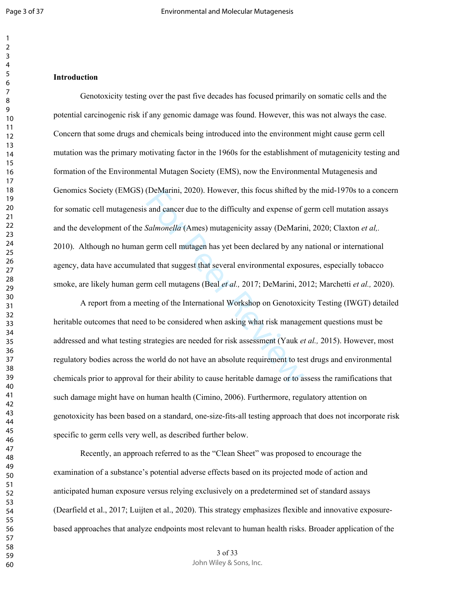$\mathbf{1}$  $\overline{2}$ 

## **Introduction**

(DeMarini, 2020). However, this focus shifted by<br>and cancer due to the difficulty and expense of  $\beta$ <br>Salmonella (Ames) mutagenicity assay (DeMarin<br>germ cell mutagen has yet been declared by any<br>ted that suggest that seve Genotoxicity testing over the past five decades has focused primarily on somatic cells and the potential carcinogenic risk if any genomic damage was found. However, this was not always the case. Concern that some drugs and chemicals being introduced into the environment might cause germ cell mutation was the primary motivating factor in the 1960s for the establishment of mutagenicity testing and formation of the Environmental Mutagen Society (EMS), now the Environmental Mutagenesis and Genomics Society (EMGS) (DeMarini, 2020). However, this focus shifted by the mid-1970s to a concern for somatic cell mutagenesis and cancer due to the difficulty and expense of germ cell mutation assays and the development of the *Salmonella* (Ames) mutagenicity assay (DeMarini, 2020; Claxton *et al,.* 2010). Although no human germ cell mutagen has yet been declared by any national or international agency, data have accumulated that suggest that several environmental exposures, especially tobacco smoke, are likely human germ cell mutagens (Beal *et al.,* 2017; DeMarini, 2012; Marchetti *et al.,* 2020).

A report from a meeting of the International Workshop on Genotoxicity Testing (IWGT) detailed heritable outcomes that need to be considered when asking what risk management questions must be addressed and what testing strategies are needed for risk assessment (Yauk *et al.,* 2015). However, most regulatory bodies across the world do not have an absolute requirement to test drugs and environmental chemicals prior to approval for their ability to cause heritable damage or to assess the ramifications that such damage might have on human health (Cimino, 2006). Furthermore, regulatory attention on genotoxicity has been based on a standard, one-size-fits-all testing approach that does not incorporate risk specific to germ cells very well, as described further below.

Recently, an approach referred to as the "Clean Sheet" was proposed to encourage the examination of a substance's potential adverse effects based on its projected mode of action and anticipated human exposure versus relying exclusively on a predetermined set of standard assays (Dearfield et al., 2017; Luijten et al., 2020). This strategy emphasizes flexible and innovative exposurebased approaches that analyze endpoints most relevant to human health risks. Broader application of the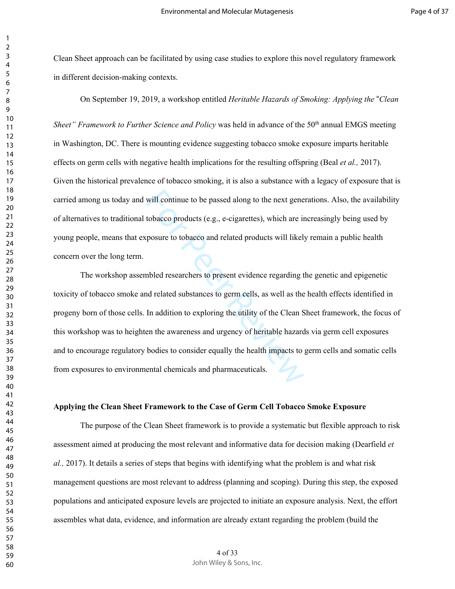Clean Sheet approach can be facilitated by using case studies to explore this novel regulatory framework in different decision-making contexts.

On September 19, 2019, a workshop entitled *Heritable Hazards of Smoking: Applying the* "*Clean Sheet" Framework to Further Science and Policy* was held in advance of the 50<sup>th</sup> annual EMGS meeting in Washington, DC. There is mounting evidence suggesting tobacco smoke exposure imparts heritable effects on germ cells with negative health implications for the resulting offspring (Beal *et al.,* 2017). Given the historical prevalence of tobacco smoking, it is also a substance with a legacy of exposure that is carried among us today and will continue to be passed along to the next generations. Also, the availability of alternatives to traditional tobacco products (e.g., e-cigarettes), which are increasingly being used by young people, means that exposure to tobacco and related products will likely remain a public health concern over the long term.

will continue to be passed along to the next gene<br>tobacco products (e.g., e-cigarettes), which are in<br>posure to tobacco and related products will likel:<br>heled researchers to present evidence regarding t<br>nd related substanc The workshop assembled researchers to present evidence regarding the genetic and epigenetic toxicity of tobacco smoke and related substances to germ cells, as well as the health effects identified in progeny born of those cells. In addition to exploring the utility of the Clean Sheet framework, the focus of this workshop was to heighten the awareness and urgency of heritable hazards via germ cell exposures and to encourage regulatory bodies to consider equally the health impacts to germ cells and somatic cells from exposures to environmental chemicals and pharmaceuticals.

### **Applying the Clean Sheet Framework to the Case of Germ Cell Tobacco Smoke Exposure**

The purpose of the Clean Sheet framework is to provide a systematic but flexible approach to risk assessment aimed at producing the most relevant and informative data for decision making (Dearfield *et al.,* 2017). It details a series of steps that begins with identifying what the problem is and what risk management questions are most relevant to address (planning and scoping). During this step, the exposed populations and anticipated exposure levels are projected to initiate an exposure analysis. Next, the effort assembles what data, evidence, and information are already extant regarding the problem (build the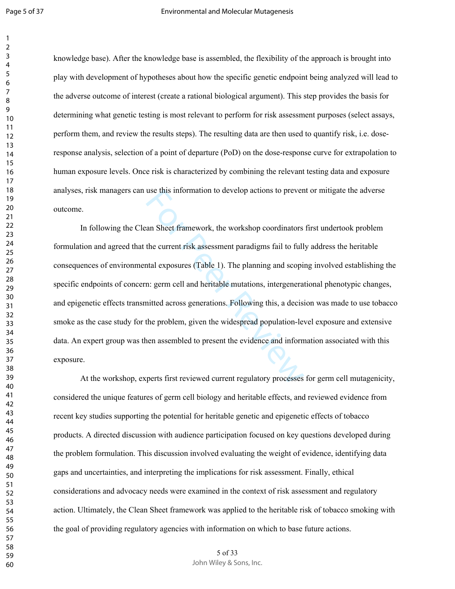knowledge base). After the knowledge base is assembled, the flexibility of the approach is brought into play with development of hypotheses about how the specific genetic endpoint being analyzed will lead to the adverse outcome of interest (create a rational biological argument). This step provides the basis for determining what genetic testing is most relevant to perform for risk assessment purposes (select assays, perform them, and review the results steps). The resulting data are then used to quantify risk, i.e. doseresponse analysis, selection of a point of departure (PoD) on the dose-response curve for extrapolation to human exposure levels. Once risk is characterized by combining the relevant testing data and exposure analyses, risk managers can use this information to develop actions to prevent or mitigate the adverse outcome.

use this information to develop actions to preven<br>an Sheet framework, the workshop coordinators<br>the current risk assessment paradigms fail to full<br>ntal exposures (Table 1). The planning and scopin<br>n: germ cell and heritabl In following the Clean Sheet framework, the workshop coordinators first undertook problem formulation and agreed that the current risk assessment paradigms fail to fully address the heritable consequences of environmental exposures (Table 1). The planning and scoping involved establishing the specific endpoints of concern: germ cell and heritable mutations, intergenerational phenotypic changes, and epigenetic effects transmitted across generations. Following this, a decision was made to use tobacco smoke as the case study for the problem, given the widespread population-level exposure and extensive data. An expert group was then assembled to present the evidence and information associated with this exposure.

At the workshop, experts first reviewed current regulatory processes for germ cell mutagenicity, considered the unique features of germ cell biology and heritable effects, and reviewed evidence from recent key studies supporting the potential for heritable genetic and epigenetic effects of tobacco products. A directed discussion with audience participation focused on key questions developed during the problem formulation. This discussion involved evaluating the weight of evidence, identifying data gaps and uncertainties, and interpreting the implications for risk assessment. Finally, ethical considerations and advocacy needs were examined in the context of risk assessment and regulatory action. Ultimately, the Clean Sheet framework was applied to the heritable risk of tobacco smoking with the goal of providing regulatory agencies with information on which to base future actions.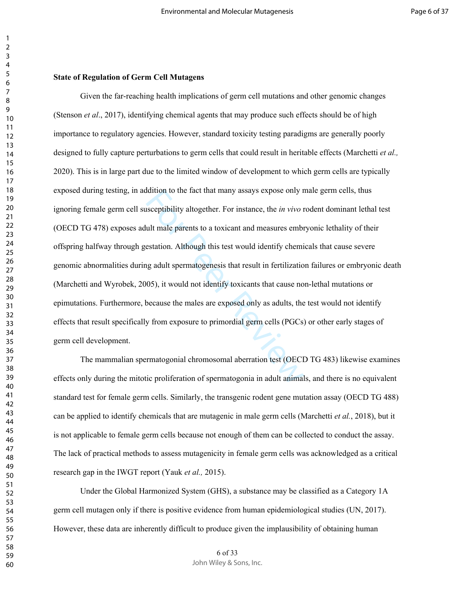### **State of Regulation of Germ Cell Mutagens**

dattion to the fact that many assays expose only r<br>sceptibility altogether. For instance, the *in vivo* r<br>ult male parents to a toxicant and measures embr<br>estation. Although this test would identify chemi<br>g adult spermatog Given the far-reaching health implications of germ cell mutations and other genomic changes (Stenson *et al*., 2017), identifying chemical agents that may produce such effects should be of high importance to regulatory agencies. However, standard toxicity testing paradigms are generally poorly designed to fully capture perturbations to germ cells that could result in heritable effects (Marchetti *et al.,* 2020). This is in large part due to the limited window of development to which germ cells are typically exposed during testing, in addition to the fact that many assays expose only male germ cells, thus ignoring female germ cell susceptibility altogether. For instance, the *in vivo* rodent dominant lethal test (OECD TG 478) exposes adult male parents to a toxicant and measures embryonic lethality of their offspring halfway through gestation. Although this test would identify chemicals that cause severe genomic abnormalities during adult spermatogenesis that result in fertilization failures or embryonic death (Marchetti and Wyrobek, 2005), it would not identify toxicants that cause non-lethal mutations or epimutations. Furthermore, because the males are exposed only as adults, the test would not identify effects that result specifically from exposure to primordial germ cells (PGCs) or other early stages of germ cell development.

The mammalian spermatogonial chromosomal aberration test (OECD TG 483) likewise examines effects only during the mitotic proliferation of spermatogonia in adult animals, and there is no equivalent standard test for female germ cells. Similarly, the transgenic rodent gene mutation assay (OECD TG 488) can be applied to identify chemicals that are mutagenic in male germ cells (Marchetti *et al.*, 2018), but it is not applicable to female germ cells because not enough of them can be collected to conduct the assay. The lack of practical methods to assess mutagenicity in female germ cells was acknowledged as a critical research gap in the IWGT report (Yauk *et al.,* 2015).

Under the Global Harmonized System (GHS), a substance may be classified as a Category 1A germ cell mutagen only if there is positive evidence from human epidemiological studies (UN, 2017). However, these data are inherently difficult to produce given the implausibility of obtaining human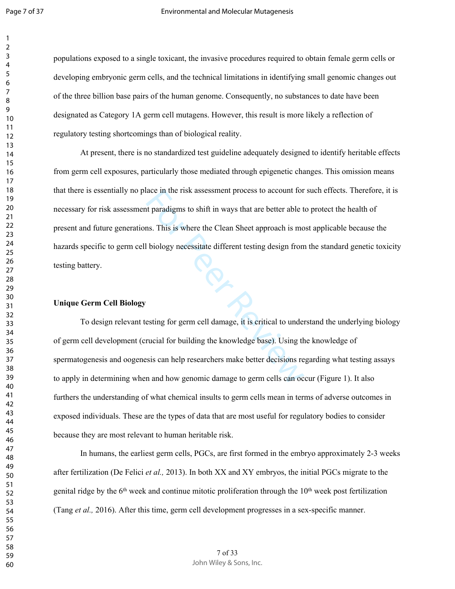populations exposed to a single toxicant, the invasive procedures required to obtain female germ cells or developing embryonic germ cells, and the technical limitations in identifying small genomic changes out of the three billion base pairs of the human genome. Consequently, no substances to date have been designated as Category 1A germ cell mutagens. However, this result is more likely a reflection of regulatory testing shortcomings than of biological reality.

ace in the risk assessment process to account for<br>the paradigms to shift in ways that are better able t<br>ns. This is where the Clean Sheet approach is mo<br>biology necessitate different testing design from<br>biology necessitate At present, there is no standardized test guideline adequately designed to identify heritable effects from germ cell exposures, particularly those mediated through epigenetic changes. This omission means that there is essentially no place in the risk assessment process to account for such effects. Therefore, it is necessary for risk assessment paradigms to shift in ways that are better able to protect the health of present and future generations. This is where the Clean Sheet approach is most applicable because the hazards specific to germ cell biology necessitate different testing design from the standard genetic toxicity testing battery.

# **Unique Germ Cell Biology**

To design relevant testing for germ cell damage, it is critical to understand the underlying biology of germ cell development (crucial for building the knowledge base). Using the knowledge of spermatogenesis and oogenesis can help researchers make better decisions regarding what testing assays to apply in determining when and how genomic damage to germ cells can occur (Figure 1). It also furthers the understanding of what chemical insults to germ cells mean in terms of adverse outcomes in exposed individuals. These are the types of data that are most useful for regulatory bodies to consider because they are most relevant to human heritable risk.

In humans, the earliest germ cells, PGCs, are first formed in the embryo approximately 2-3 weeks after fertilization (De Felici *et al.,* 2013). In both XX and XY embryos, the initial PGCs migrate to the genital ridge by the  $6<sup>th</sup>$  week and continue mitotic proliferation through the  $10<sup>th</sup>$  week post fertilization (Tang *et al.,* 2016). After this time, germ cell development progresses in a sex-specific manner.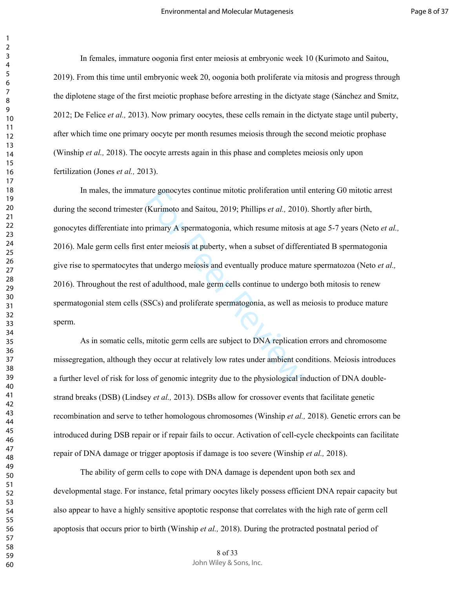In females, immature oogonia first enter meiosis at embryonic week 10 (Kurimoto and Saitou, 2019). From this time until embryonic week 20, oogonia both proliferate via mitosis and progress through the diplotene stage of the first meiotic prophase before arresting in the dictyate stage (Sánchez and Smitz, 2012; De Felice *et al.,* 2013). Now primary oocytes, these cells remain in the dictyate stage until puberty, after which time one primary oocyte per month resumes meiosis through the second meiotic prophase (Winship *et al.,* 2018). The oocyte arrests again in this phase and completes meiosis only upon fertilization (Jones *et al.,* 2013).

The genocytes continue mitotic proliferation until<br>
(Kurimoto and Saitou, 2019; Phillips *et al.*, 2010<br>
primary A spermatogonia, which resume mitosis<br>
enter meiosis at puberty, when a subset of different<br>
at undergo meios In males, the immature gonocytes continue mitotic proliferation until entering G0 mitotic arrest during the second trimester (Kurimoto and Saitou, 2019; Phillips *et al.,* 2010). Shortly after birth, gonocytes differentiate into primary A spermatogonia, which resume mitosis at age 5-7 years (Neto *et al.,* 2016). Male germ cells first enter meiosis at puberty, when a subset of differentiated B spermatogonia give rise to spermatocytes that undergo meiosis and eventually produce mature spermatozoa (Neto *et al.,* 2016). Throughout the rest of adulthood, male germ cells continue to undergo both mitosis to renew spermatogonial stem cells (SSCs) and proliferate spermatogonia, as well as meiosis to produce mature sperm.

As in somatic cells, mitotic germ cells are subject to DNA replication errors and chromosome missegregation, although they occur at relatively low rates under ambient conditions. Meiosis introduces a further level of risk for loss of genomic integrity due to the physiological induction of DNA doublestrand breaks (DSB) (Lindsey *et al.,* 2013). DSBs allow for crossover events that facilitate genetic recombination and serve to tether homologous chromosomes (Winship *et al.,* 2018). Genetic errors can be introduced during DSB repair or if repair fails to occur. Activation of cell-cycle checkpoints can facilitate repair of DNA damage or trigger apoptosis if damage is too severe (Winship *et al.,* 2018).

The ability of germ cells to cope with DNA damage is dependent upon both sex and developmental stage. For instance, fetal primary oocytes likely possess efficient DNA repair capacity but also appear to have a highly sensitive apoptotic response that correlates with the high rate of germ cell apoptosis that occurs prior to birth (Winship *et al.,* 2018). During the protracted postnatal period of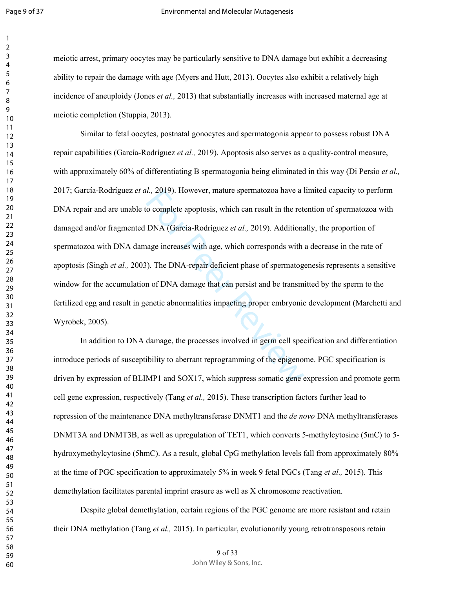$\overline{2}$ 

#### Environmental and Molecular Mutagenesis

meiotic arrest, primary oocytes may be particularly sensitive to DNA damage but exhibit a decreasing ability to repair the damage with age (Myers and Hutt, 2013). Oocytes also exhibit a relatively high incidence of aneuploidy (Jones *et al.,* 2013) that substantially increases with increased maternal age at meiotic completion (Stuppia, 2013).

*I.*, 2019). However, mature spermatozoa have a lo complete apoptosis, which can result in the ret DNA (García-Rodríguez *et al.*, 2019). Additiona<br>nage increases with age, which corresponds with<br>). The DNA-repair deficien Similar to fetal oocytes, postnatal gonocytes and spermatogonia appear to possess robust DNA repair capabilities (García-Rodríguez *et al.,* 2019). Apoptosis also serves as a quality-control measure, with approximately 60% of differentiating B spermatogonia being eliminated in this way (Di Persio *et al.*, 2017; García-Rodríguez *et al.,* 2019). However, mature spermatozoa have a limited capacity to perform DNA repair and are unable to complete apoptosis, which can result in the retention of spermatozoa with damaged and/or fragmented DNA (García-Rodríguez *et al.,* 2019). Additionally, the proportion of spermatozoa with DNA damage increases with age, which corresponds with a decrease in the rate of apoptosis (Singh *et al.,* 2003). The DNA-repair deficient phase of spermatogenesis represents a sensitive window for the accumulation of DNA damage that can persist and be transmitted by the sperm to the fertilized egg and result in genetic abnormalities impacting proper embryonic development (Marchetti and Wyrobek, 2005).

In addition to DNA damage, the processes involved in germ cell specification and differentiation introduce periods of susceptibility to aberrant reprogramming of the epigenome. PGC specification is driven by expression of BLIMP1 and SOX17, which suppress somatic gene expression and promote germ cell gene expression, respectively (Tang *et al.,* 2015). These transcription factors further lead to repression of the maintenance DNA methyltransferase DNMT1 and the *de novo* DNA methyltransferases DNMT3A and DNMT3B, as well as upregulation of TET1, which converts 5-methylcytosine (5mC) to 5 hydroxymethylcytosine (5hmC). As a result, global CpG methylation levels fall from approximately 80% at the time of PGC specification to approximately 5% in week 9 fetal PGCs (Tang *et al.,* 2015). This demethylation facilitates parental imprint erasure as well as X chromosome reactivation.

Despite global demethylation, certain regions of the PGC genome are more resistant and retain their DNA methylation (Tang *et al.,* 2015). In particular, evolutionarily young retrotransposons retain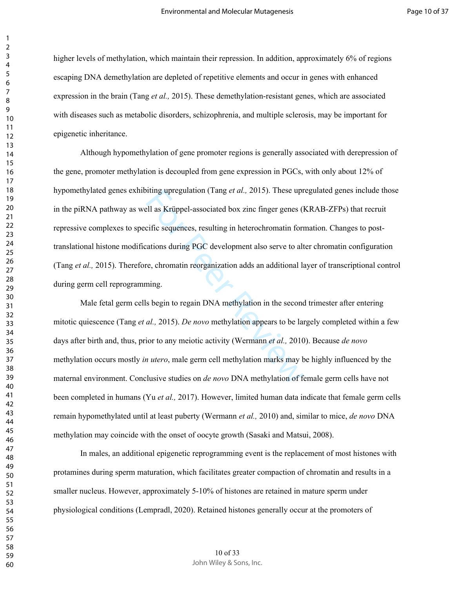higher levels of methylation, which maintain their repression. In addition, approximately 6% of regions escaping DNA demethylation are depleted of repetitive elements and occur in genes with enhanced expression in the brain (Tang *et al.,* 2015). These demethylation-resistant genes, which are associated with diseases such as metabolic disorders, schizophrenia, and multiple sclerosis, may be important for epigenetic inheritance.

The use up the use of the sequences, resulting the all, as Krüppel-associated box zinc finger genes (I<br>cific sequences, resulting in heterochromatin formations during PGC development also serve to alt<br>re, chromatin reorgan Although hypomethylation of gene promoter regions is generally associated with derepression of the gene, promoter methylation is decoupled from gene expression in PGCs, with only about 12% of hypomethylated genes exhibiting upregulation (Tang *et al.,* 2015). These upregulated genes include those in the piRNA pathway as well as Krüppel-associated box zinc finger genes (KRAB-ZFPs) that recruit repressive complexes to specific sequences, resulting in heterochromatin formation. Changes to posttranslational histone modifications during PGC development also serve to alter chromatin configuration (Tang *et al.,* 2015). Therefore, chromatin reorganization adds an additional layer of transcriptional control during germ cell reprogramming.

Male fetal germ cells begin to regain DNA methylation in the second trimester after entering mitotic quiescence (Tang *et al.,* 2015). *De novo* methylation appears to be largely completed within a few days after birth and, thus, prior to any meiotic activity (Wermann *et al.,* 2010). Because *de novo* methylation occurs mostly *in utero*, male germ cell methylation marks may be highly influenced by the maternal environment. Conclusive studies on *de novo* DNA methylation of female germ cells have not been completed in humans (Yu *et al.,* 2017). However, limited human data indicate that female germ cells remain hypomethylated until at least puberty (Wermann *et al.,* 2010) and, similar to mice, *de novo* DNA methylation may coincide with the onset of oocyte growth (Sasaki and Matsui, 2008).

In males, an additional epigenetic reprogramming event is the replacement of most histones with protamines during sperm maturation, which facilitates greater compaction of chromatin and results in a smaller nucleus. However, approximately 5-10% of histones are retained in mature sperm under physiological conditions (Lempradl, 2020). Retained histones generally occur at the promoters of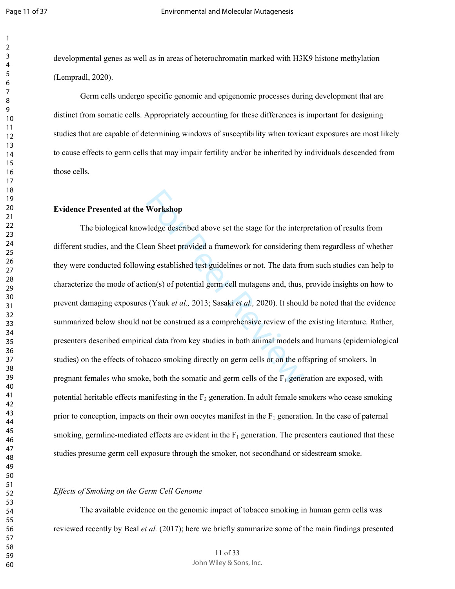developmental genes as well as in areas of heterochromatin marked with H3K9 histone methylation (Lempradl, 2020).

Germ cells undergo specific genomic and epigenomic processes during development that are distinct from somatic cells. Appropriately accounting for these differences is important for designing studies that are capable of determining windows of susceptibility when toxicant exposures are most likely to cause effects to germ cells that may impair fertility and/or be inherited by individuals descended from those cells.

# **Evidence Presented at the Workshop**

**Workshop**<br>Vledge described above set the stage for the interprean Sheet provided a framework for considering ing established test guidelines or not. The data from(s) of potential germ cell mutagens and, thus,  $s$  (Yauk The biological knowledge described above set the stage for the interpretation of results from different studies, and the Clean Sheet provided a framework for considering them regardless of whether they were conducted following established test guidelines or not. The data from such studies can help to characterize the mode of action(s) of potential germ cell mutagens and, thus, provide insights on how to prevent damaging exposures (Yauk *et al.,* 2013; Sasaki *et al.,* 2020). It should be noted that the evidence summarized below should not be construed as a comprehensive review of the existing literature. Rather, presenters described empirical data from key studies in both animal models and humans (epidemiological studies) on the effects of tobacco smoking directly on germ cells or on the offspring of smokers. In pregnant females who smoke, both the somatic and germ cells of the  $F_1$  generation are exposed, with potential heritable effects manifesting in the  $F_2$  generation. In adult female smokers who cease smoking prior to conception, impacts on their own oocytes manifest in the  $F_1$  generation. In the case of paternal smoking, germline-mediated effects are evident in the  $F_1$  generation. The presenters cautioned that these studies presume germ cell exposure through the smoker, not secondhand or sidestream smoke.

## *Effects of Smoking on the Germ Cell Genome*

The available evidence on the genomic impact of tobacco smoking in human germ cells was reviewed recently by Beal *et al.* (2017); here we briefly summarize some of the main findings presented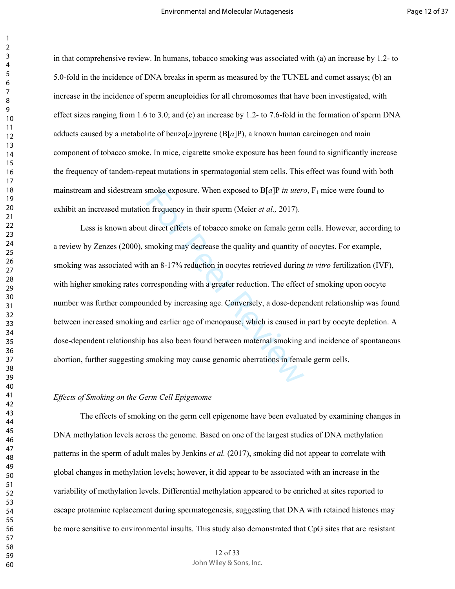in that comprehensive review. In humans, tobacco smoking was associated with (a) an increase by 1.2- to 5.0-fold in the incidence of DNA breaks in sperm as measured by the TUNEL and comet assays; (b) an increase in the incidence of sperm aneuploidies for all chromosomes that have been investigated, with effect sizes ranging from 1.6 to 3.0; and (c) an increase by 1.2- to 7.6-fold in the formation of sperm DNA adducts caused by a metabolite of benzo[*a*]pyrene (B[*a*]P), a known human carcinogen and main component of tobacco smoke. In mice, cigarette smoke exposure has been found to significantly increase the frequency of tandem-repeat mutations in spermatogonial stem cells. This effect was found with both mainstream and sidestream smoke exposure. When exposed to  $B[a]P$  *in utero*,  $F_1$  mice were found to exhibit an increased mutation frequency in their sperm (Meier *et al.,* 2017).

smoke exposure. When exposed to  $B[a]P$  *in utera*<br>in frequency in their sperm (Meier *et al.*, 2017).<br>I direct effects of tobacco smoke on female germ<br>smoking may decrease the quality and quantity of<br>an  $8-17\%$  reduction Less is known about direct effects of tobacco smoke on female germ cells. However, according to a review by Zenzes (2000), smoking may decrease the quality and quantity of oocytes. For example, smoking was associated with an 8-17% reduction in oocytes retrieved during *in vitro* fertilization (IVF), with higher smoking rates corresponding with a greater reduction. The effect of smoking upon oocyte number was further compounded by increasing age. Conversely, a dose-dependent relationship was found between increased smoking and earlier age of menopause, which is caused in part by oocyte depletion. A dose-dependent relationship has also been found between maternal smoking and incidence of spontaneous abortion, further suggesting smoking may cause genomic aberrations in female germ cells.

### *Effects of Smoking on the Germ Cell Epigenome*

The effects of smoking on the germ cell epigenome have been evaluated by examining changes in DNA methylation levels across the genome. Based on one of the largest studies of DNA methylation patterns in the sperm of adult males by Jenkins *et al.* (2017), smoking did not appear to correlate with global changes in methylation levels; however, it did appear to be associated with an increase in the variability of methylation levels. Differential methylation appeared to be enriched at sites reported to escape protamine replacement during spermatogenesis, suggesting that DNA with retained histones may be more sensitive to environmental insults. This study also demonstrated that CpG sites that are resistant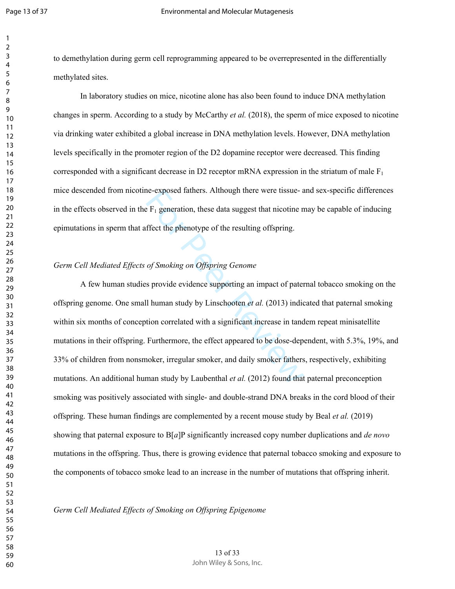$\overline{2}$ 

to demethylation during germ cell reprogramming appeared to be overrepresented in the differentially methylated sites.

In laboratory studies on mice, nicotine alone has also been found to induce DNA methylation changes in sperm. According to a study by McCarthy *et al.* (2018), the sperm of mice exposed to nicotine via drinking water exhibited a global increase in DNA methylation levels. However, DNA methylation levels specifically in the promoter region of the D2 dopamine receptor were decreased. This finding corresponded with a significant decrease in D2 receptor mRNA expression in the striatum of male  $F_1$ mice descended from nicotine-exposed fathers. Although there were tissue- and sex-specific differences in the effects observed in the  $F_1$  generation, these data suggest that nicotine may be capable of inducing epimutations in sperm that affect the phenotype of the resulting offspring.

# *Germ Cell Mediated Effects of Smoking on Offspring Genome*

Endington these data suggest that nicotine n<br>
EF<sub>1</sub> generation, these data suggest that nicotine n<br>
ffect the phenotype of the resulting offspring.<br>
of *Smoking on Offspring Genome*<br>
s provide evidence supporting an impac A few human studies provide evidence supporting an impact of paternal tobacco smoking on the offspring genome. One small human study by Linschooten *et al.* (2013) indicated that paternal smoking within six months of conception correlated with a significant increase in tandem repeat minisatellite mutations in their offspring. Furthermore, the effect appeared to be dose-dependent, with 5.3%, 19%, and 33% of children from nonsmoker, irregular smoker, and daily smoker fathers, respectively, exhibiting mutations. An additional human study by Laubenthal *et al.* (2012) found that paternal preconception smoking was positively associated with single- and double-strand DNA breaks in the cord blood of their offspring. These human findings are complemented by a recent mouse study by Beal *et al.* (2019) showing that paternal exposure to B[ *a*]P significantly increased copy number duplications and *de novo* mutations in the offspring. Thus, there is growing evidence that paternal tobacco smoking and exposure to the components of tobacco smoke lead to an increase in the number of mutations that offspring inherit.

*Germ Cell Mediated Effects of Smoking on Offspring Epigenome*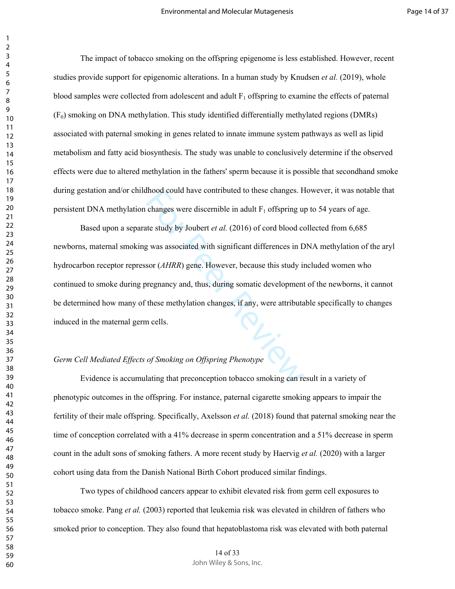The impact of tobacco smoking on the offspring epigenome is less established. However, recent studies provide support for epigenomic alterations. In a human study by Knudsen *et al.* (2019), whole blood samples were collected from adolescent and adult  $F_1$  offspring to examine the effects of paternal  $(F<sub>0</sub>)$  smoking on DNA methylation. This study identified differentially methylated regions (DMRs) associated with paternal smoking in genes related to innate immune system pathways as well as lipid metabolism and fatty acid biosynthesis. The study was unable to conclusively determine if the observed effects were due to altered methylation in the fathers' sperm because it is possible that secondhand smoke during gestation and/or childhood could have contributed to these changes. However, it was notable that persistent DNA methylation changes were discernible in adult  $F_1$  offspring up to 54 years of age.

find those contributed to these changes. From the study by Joubert *et al.* (2016) of cord blood contributed by Joubert *et al.* (2016) of cord blood contributed by was associated with significant differences in E sor (*A* Based upon a separate study by Joubert *et al.* (2016) of cord blood collected from 6,685 newborns, maternal smoking was associated with significant differences in DNA methylation of the aryl hydrocarbon receptor repressor (*AHRR*) gene. However, because this study included women who continued to smoke during pregnancy and, thus, during somatic development of the newborns, it cannot be determined how many of these methylation changes, if any, were attributable specifically to changes induced in the maternal germ cells.

# *Germ Cell Mediated Effects of Smoking on Offspring Phenotype*

Evidence is accumulating that preconception tobacco smoking can result in a variety of phenotypic outcomes in the offspring. For instance, paternal cigarette smoking appears to impair the fertility of their male offspring. Specifically, Axelsson *et al.* (2018) found that paternal smoking near the time of conception correlated with a 41% decrease in sperm concentration and a 51% decrease in sperm count in the adult sons of smoking fathers. A more recent study by Haervig *et al.* (2020) with a larger cohort using data from the Danish National Birth Cohort produced similar findings.

Two types of childhood cancers appear to exhibit elevated risk from germ cell exposures to tobacco smoke. Pang *et al.* (2003) reported that leukemia risk was elevated in children of fathers who smoked prior to conception. They also found that hepatoblastoma risk was elevated with both paternal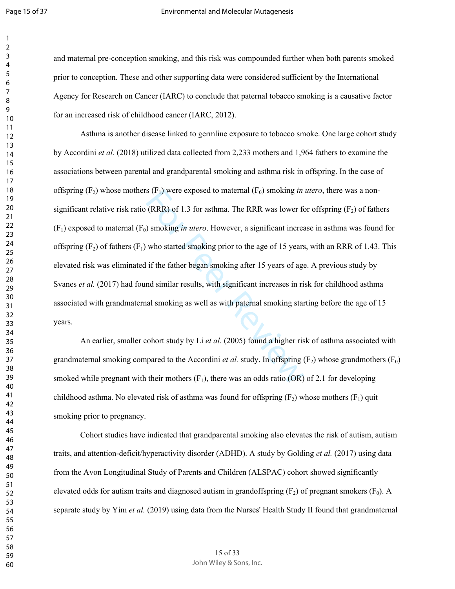and maternal pre-conception smoking, and this risk was compounded further when both parents smoked prior to conception. These and other supporting data were considered sufficient by the International Agency for Research on Cancer (IARC) to conclude that paternal tobacco smoking is a causative factor for an increased risk of childhood cancer (IARC, 2012).

For Proposed to maternal (F<sub>0</sub>) smoking *in*<br>
(RRR) of 1.3 for asthma. The RRR was lower for<br>
) smoking *in utero*. However, a significant increase<br>
who started smoking prior to the age of 15 years<br>
if the father began sm Asthma is another disease linked to germline exposure to tobacco smoke. One large cohort study by Accordini *et al.* (2018) utilized data collected from 2,233 mothers and 1,964 fathers to examine the associations between parental and grandparental smoking and asthma risk in offspring. In the case of offspring (F <sup>2</sup>) whose mothers (F <sup>1</sup>) were exposed to maternal (F 0) smoking *in utero*, there was a nonsignificant relative risk ratio (RRR) of 1.3 for asthma. The RRR was lower for offspring  $(F_2)$  of fathers (F <sup>1</sup>) exposed to maternal (F <sup>0</sup>) smoking *in utero*. However, a significant increase in asthma was found for offspring  $(F_2)$  of fathers  $(F_1)$  who started smoking prior to the age of 15 years, with an RRR of 1.43. This elevated risk was eliminated if the father began smoking after 15 years of age. A previous study by Svanes *et al.* (2017) had found similar results, with significant increases in risk for childhood asthma associated with grandmaternal smoking as well as with paternal smoking starting before the age of 15 years.

An earlier, smaller cohort study by Li *et al.* (2005) found a higher risk of asthma associated with grandmaternal smoking compared to the Accordini *et al.* study. In offspring  $(F_2)$  whose grandmothers  $(F_0)$ smoked while pregnant with their mothers  $(F_1)$ , there was an odds ratio (OR) of 2.1 for developing childhood asthma. No elevated risk of asthma was found for offspring  $(F_2)$  whose mothers  $(F_1)$  quit smoking prior to pregnancy.

Cohort studies have indicated that grandparental smoking also elevates the risk of autism, autism traits, and attention-deficit/hyperactivity disorder (ADHD). A study by Golding *et al.* (2017) using data from the Avon Longitudinal Study of Parents and Children (ALSPAC) cohort showed significantly elevated odds for autism traits and diagnosed autism in grandoffspring  $(F_2)$  of pregnant smokers  $(F_0)$ . A separate study by Yim *et al.* (2019) using data from the Nurses' Health Study II found that grandmaternal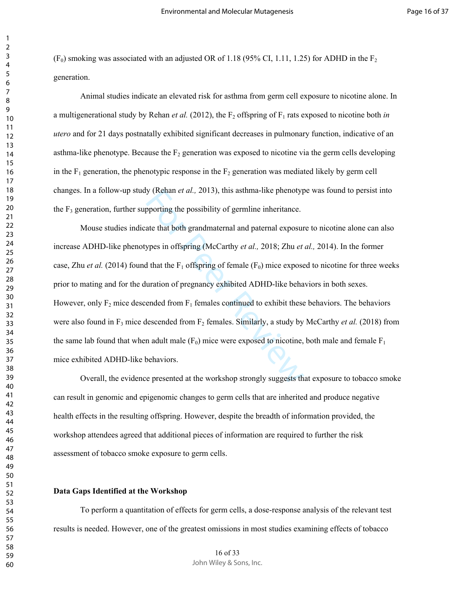$(F<sub>0</sub>)$  smoking was associated with an adjusted OR of 1.18 (95% CI, 1.11, 1.25) for ADHD in the F<sub>2</sub> generation.

Animal studies indicate an elevated risk for asthma from germ cell exposure to nicotine alone. In a multigenerational study by Rehan *et al.* (2012), the  $F_2$  offspring of  $F_1$  rats exposed to nicotine both *in utero* and for 21 days postnatally exhibited significant decreases in pulmonary function, indicative of an asthma-like phenotype. Because the  $F_2$  generation was exposed to nicotine via the germ cells developing in the  $F_1$  generation, the phenotypic response in the  $F_2$  generation was mediated likely by germ cell changes. In a follow-up study (Rehan *et al.,* 2013), this asthma-like phenotype was found to persist into the  $F_3$  generation, further supporting the possibility of germline inheritance.

y (Kehan *et al.*, 2013), this asthma-like phenotyp<br>pporting the possibility of germline inheritance.<br>ate that both grandmaternal and paternal exposur<br>ypes in offspring (McCarthy *et al.*, 2018; Zhu *et*<br>d that the F<sub>1</sub> o Mouse studies indicate that both grandmaternal and paternal exposure to nicotine alone can also increase ADHD-like phenotypes in offspring (McCarthy *et al.,* 2018; Zhu *et al.,* 2014). In the former case, Zhu *et al.* (2014) found that the  $F_1$  offspring of female ( $F_0$ ) mice exposed to nicotine for three weeks prior to mating and for the duration of pregnancy exhibited ADHD-like behaviors in both sexes. However, only  $F_2$  mice descended from  $F_1$  females continued to exhibit these behaviors. The behaviors were also found in  $F_3$  mice descended from  $F_2$  females. Similarly, a study by McCarthy *et al.* (2018) from the same lab found that when adult male  $(F_0)$  mice were exposed to nicotine, both male and female  $F_1$ mice exhibited ADHD-like behaviors.

Overall, the evidence presented at the workshop strongly suggests that exposure to tobacco smoke can result in genomic and epigenomic changes to germ cells that are inherited and produce negative health effects in the resulting offspring. However, despite the breadth of information provided, the workshop attendees agreed that additional pieces of information are required to further the risk assessment of tobacco smoke exposure to germ cells.

## **Data Gaps Identified at the Workshop**

To perform a quantitation of effects for germ cells, a dose-response analysis of the relevant test results is needed. However, one of the greatest omissions in most studies examining effects of tobacco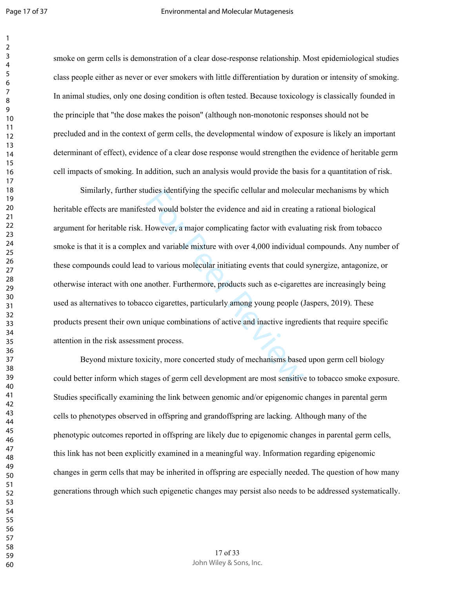$\overline{2}$ 

smoke on germ cells is demonstration of a clear dose-response relationship. Most epidemiological studies class people either as never or ever smokers with little differentiation by duration or intensity of smoking. In animal studies, only one dosing condition is often tested. Because toxicology is classically founded in the principle that "the dose makes the poison" (although non-monotonic responses should not be precluded and in the context of germ cells, the developmental window of exposure is likely an important determinant of effect), evidence of a clear dose response would strengthen the evidence of heritable germ cell impacts of smoking. In addition, such an analysis would provide the basis for a quantitation of risk.

dies identitying the specific cellular and molecuted would bolster the evidence and aid in creating<br>However, a major complicating factor with evaluand variable mixture with over 4,000 individual<br>to various molecular initia Similarly, further studies identifying the specific cellular and molecular mechanisms by which heritable effects are manifested would bolster the evidence and aid in creating a rational biological argument for heritable risk. However, a major complicating factor with evaluating risk from tobacco smoke is that it is a complex and variable mixture with over 4,000 individual compounds. Any number of these compounds could lead to various molecular initiating events that could synergize, antagonize, or otherwise interact with one another. Furthermore, products such as e-cigarettes are increasingly being used as alternatives to tobacco cigarettes, particularly among young people (Jaspers, 2019). These products present their own unique combinations of active and inactive ingredients that require specific attention in the risk assessment process.

Beyond mixture toxicity, more concerted study of mechanisms based upon germ cell biology could better inform which stages of germ cell development are most sensitive to tobacco smoke exposure. Studies specifically examining the link between genomic and/or epigenomic changes in parental germ cells to phenotypes observed in offspring and grandoffspring are lacking. Although many of the phenotypic outcomes reported in offspring are likely due to epigenomic changes in parental germ cells, this link has not been explicitly examined in a meaningful way. Information regarding epigenomic changes in germ cells that may be inherited in offspring are especially needed. The question of how many generations through which such epigenetic changes may persist also needs to be addressed systematically.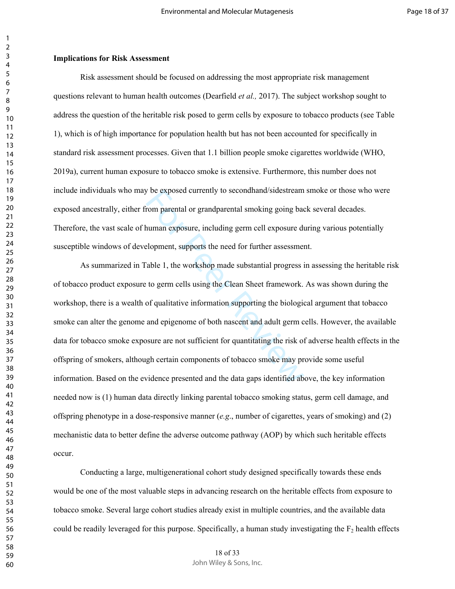### **Implications for Risk Assessment**

Risk assessment should be focused on addressing the most appropriate risk management questions relevant to human health outcomes (Dearfield *et al.,* 2017). The subject workshop sought to address the question of the heritable risk posed to germ cells by exposure to tobacco products (see Table 1), which is of high importance for population health but has not been accounted for specifically in standard risk assessment processes. Given that 1.1 billion people smoke cigarettes worldwide (WHO, 2019a), current human exposure to tobacco smoke is extensive. Furthermore, this number does not include individuals who may be exposed currently to secondhand/sidestream smoke or those who were exposed ancestrally, either from parental or grandparental smoking going back several decades. Therefore, the vast scale of human exposure, including germ cell exposure during various potentially susceptible windows of development, supports the need for further assessment.

For Presenting to second and/sidestream<br>
rom parental or grandparental smoking going bad<br>
rom parental or grandparental smoking going bad<br>
roman exposure, including germ cell exposure du<br>
elopment, supports the need for fu As summarized in Table 1, the workshop made substantial progress in assessing the heritable risk of tobacco product exposure to germ cells using the Clean Sheet framework. As was shown during the workshop, there is a wealth of qualitative information supporting the biological argument that tobacco smoke can alter the genome and epigenome of both nascent and adult germ cells. However, the available data for tobacco smoke exposure are not sufficient for quantitating the risk of adverse health effects in the offspring of smokers, although certain components of tobacco smoke may provide some useful information. Based on the evidence presented and the data gaps identified above, the key information needed now is (1) human data directly linking parental tobacco smoking status, germ cell damage, and offspring phenotype in a dose-responsive manner (*e.g*., number of cigarettes, years of smoking) and (2) mechanistic data to better define the adverse outcome pathway (AOP) by which such heritable effects occur.

Conducting a large, multigenerational cohort study designed specifically towards these ends would be one of the most valuable steps in advancing research on the heritable effects from exposure to tobacco smoke. Several large cohort studies already exist in multiple countries, and the available data could be readily leveraged for this purpose. Specifically, a human study investigating the  $F<sub>2</sub>$  health effects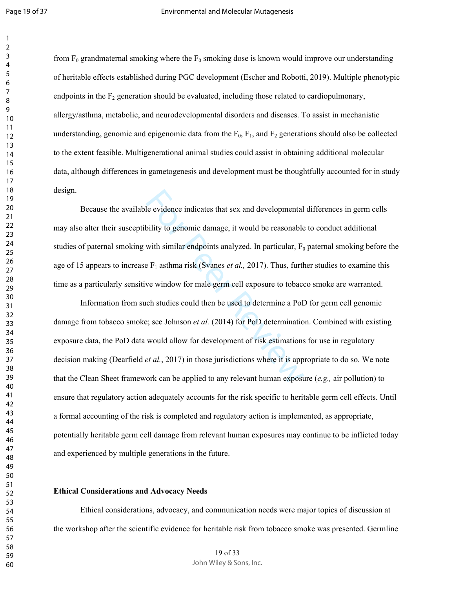from  $F_0$  grandmaternal smoking where the  $F_0$  smoking dose is known would improve our understanding of heritable effects established during PGC development (Escher and Robotti, 2019). Multiple phenotypic endpoints in the  $F_2$  generation should be evaluated, including those related to cardiopulmonary, allergy/asthma, metabolic, and neurodevelopmental disorders and diseases. To assist in mechanistic understanding, genomic and epigenomic data from the  $F_0$ ,  $F_1$ , and  $F_2$  generations should also be collected to the extent feasible. Multigenerational animal studies could assist in obtaining additional molecular data, although differences in gametogenesis and development must be thoughtfully accounted for in study design.

Because the available evidence indicates that sex and developmental differences in germ cells may also alter their susceptibility to genomic damage, it would be reasonable to conduct additional studies of paternal smoking with similar endpoints analyzed. In particular, F<sub>0</sub> paternal smoking before the age of 15 appears to increase F<sub>1</sub> asthma risk (Svanes *et al.*, 2017). Thus, further studies to examine this time as a particularly sensitive window for male germ cell exposure to tobacco smoke are warranted.

le evidence indicates that sex and developmental<br>bility to genomic damage, it would be reasonable<br>with similar endpoints analyzed. In particular,  $F_0$ <br>e  $F_1$  asthma risk (Svanes *et al.*, 2017). Thus, furth<br>we window fo Information from such studies could then be used to determine a PoD for germ cell genomic damage from tobacco smoke; see Johnson *et al.* (2014) for PoD determination. Combined with existing exposure data, the PoD data would allow for development of risk estimations for use in regulatory decision making (Dearfield *et al.*, 2017) in those jurisdictions where it is appropriate to do so. We note that the Clean Sheet framework can be applied to any relevant human exposure (*e.g.,* air pollution) to ensure that regulatory action adequately accounts for the risk specific to heritable germ cell effects. Until a formal accounting of the risk is completed and regulatory action is implemented, as appropriate, potentially heritable germ cell damage from relevant human exposures may continue to be inflicted today and experienced by multiple generations in the future.

### **Ethical Considerations and Advocacy Needs**

Ethical considerations, advocacy, and communication needs were major topics of discussion at the workshop after the scientific evidence for heritable risk from tobacco smoke was presented. Germline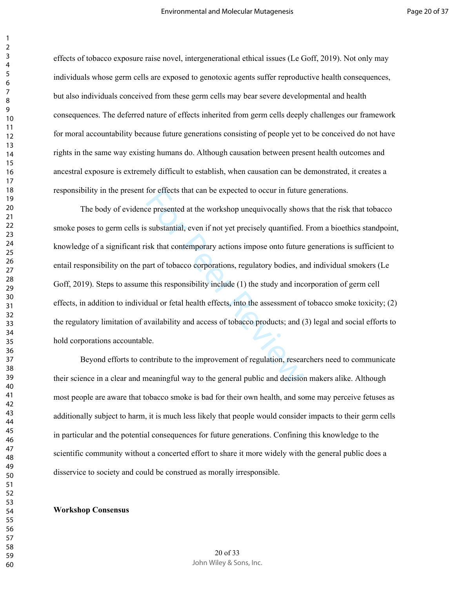effects of tobacco exposure raise novel, intergenerational ethical issues (Le Goff, 2019). Not only may individuals whose germ cells are exposed to genotoxic agents suffer reproductive health consequences, but also individuals conceived from these germ cells may bear severe developmental and health consequences. The deferred nature of effects inherited from germ cells deeply challenges our framework for moral accountability because future generations consisting of people yet to be conceived do not have rights in the same way existing humans do. Although causation between present health outcomes and ancestral exposure is extremely difficult to establish, when causation can be demonstrated, it creates a responsibility in the present for effects that can be expected to occur in future generations.

for effects that can be expected to occur in future<br>the presented at the workshop unequivocally show<br>substantial, even if not yet precisely quantified.<br>isk that contemporary actions impose onto future<br>art of tobacco corpor The body of evidence presented at the workshop unequivocally shows that the risk that tobacco smoke poses to germ cells is substantial, even if not yet precisely quantified. From a bioethics standpoint, knowledge of a significant risk that contemporary actions impose onto future generations is sufficient to entail responsibility on the part of tobacco corporations, regulatory bodies, and individual smokers (Le Goff, 2019). Steps to assume this responsibility include (1) the study and incorporation of germ cell effects, in addition to individual or fetal health effects, into the assessment of tobacco smoke toxicity; (2) the regulatory limitation of availability and access of tobacco products; and (3) legal and social efforts to hold corporations accountable.

Beyond efforts to contribute to the improvement of regulation, researchers need to communicate their science in a clear and meaningful way to the general public and decision makers alike. Although most people are aware that tobacco smoke is bad for their own health, and some may perceive fetuses as additionally subject to harm, it is much less likely that people would consider impacts to their germ cells in particular and the potential consequences for future generations. Confining this knowledge to the scientific community without a concerted effort to share it more widely with the general public does a disservice to society and could be construed as morally irresponsible.

### **Workshop Consensus**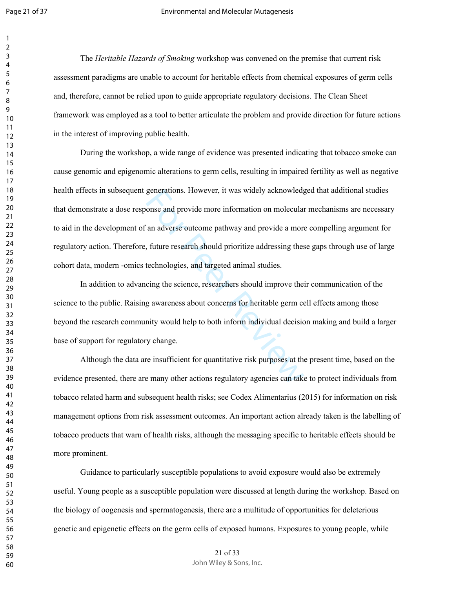$\overline{2}$ 

The *Heritable Hazards of Smoking* workshop was convened on the premise that current risk assessment paradigms are unable to account for heritable effects from chemical exposures of germ cells and, therefore, cannot be relied upon to guide appropriate regulatory decisions. The Clean Sheet framework was employed as a tool to better articulate the problem and provide direction for future actions in the interest of improving public health.

generations. However, it was widely acknowledgence<br>and provide more information on molecular<br>an adverse outcome pathway and provide a more<br>future research should prioritize addressing thes<br>technologies, and targeted animal During the workshop, a wide range of evidence was presented indicating that tobacco smoke can cause genomic and epigenomic alterations to germ cells, resulting in impaired fertility as well as negative health effects in subsequent generations. However, it was widely acknowledged that additional studies that demonstrate a dose response and provide more information on molecular mechanisms are necessary to aid in the development of an adverse outcome pathway and provide a more compelling argument for regulatory action. Therefore, future research should prioritize addressing these gaps through use of large cohort data, modern -omics technologies, and targeted animal studies.

In addition to advancing the science, researchers should improve their communication of the science to the public. Raising awareness about concerns for heritable germ cell effects among those beyond the research community would help to both inform individual decision making and build a larger base of support for regulatory change.

Although the data are insufficient for quantitative risk purposes at the present time, based on the evidence presented, there are many other actions regulatory agencies can take to protect individuals from tobacco related harm and subsequent health risks; see Codex Alimentarius (2015) for information on risk management options from risk assessment outcomes. An important action already taken is the labelling of tobacco products that warn of health risks, although the messaging specific to heritable effects should be more prominent.

Guidance to particularly susceptible populations to avoid exposure would also be extremely useful. Young people as a susceptible population were discussed at length during the workshop. Based on the biology of oogenesis and spermatogenesis, there are a multitude of opportunities for deleterious genetic and epigenetic effects on the germ cells of exposed humans. Exposures to young people, while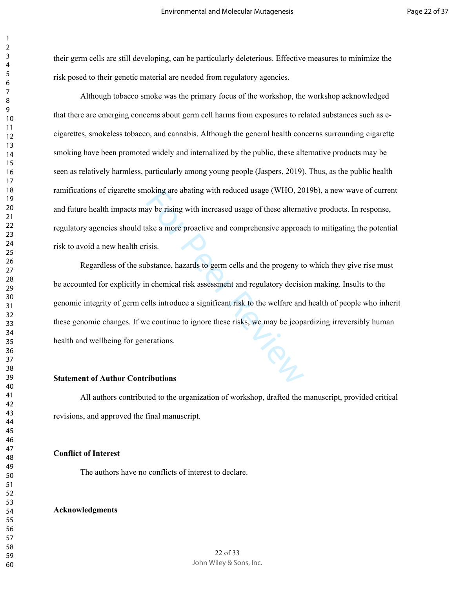their germ cells are still developing, can be particularly deleterious. Effective measures to minimize the risk posed to their genetic material are needed from regulatory agencies.

Although tobacco smoke was the primary focus of the workshop, the workshop acknowledged that there are emerging concerns about germ cell harms from exposures to related substances such as ecigarettes, smokeless tobacco, and cannabis. Although the general health concerns surrounding cigarette smoking have been promoted widely and internalized by the public, these alternative products may be seen as relatively harmless, particularly among young people (Jaspers, 2019). Thus, as the public health ramifications of cigarette smoking are abating with reduced usage (WHO, 2019b), a new wave of current and future health impacts may be rising with increased usage of these alternative products. In response, regulatory agencies should take a more proactive and comprehensive approach to mitigating the potential risk to avoid a new health crisis.

For Personalist and the progentions are abathy with reduced usage (WHO, 20<br>ay be rising with increased usage of these alterna<br>ake a more proactive and comprehensive approactions.<br>bstance, hazards to germ cells and the prog Regardless of the substance, hazards to germ cells and the progeny to which they give rise must be accounted for explicitly in chemical risk assessment and regulatory decision making. Insults to the genomic integrity of germ cells introduce a significant risk to the welfare and health of people who inherit these genomic changes. If we continue to ignore these risks, we may be jeopardizing irreversibly human health and wellbeing for generations.

## **Statement of Author Contributions**

All authors contributed to the organization of workshop, drafted the manuscript, provided critical revisions, and approved the final manuscript.

### **Conflict of Interest**

The authors have no conflicts of interest to declare.

### **Acknowledgments**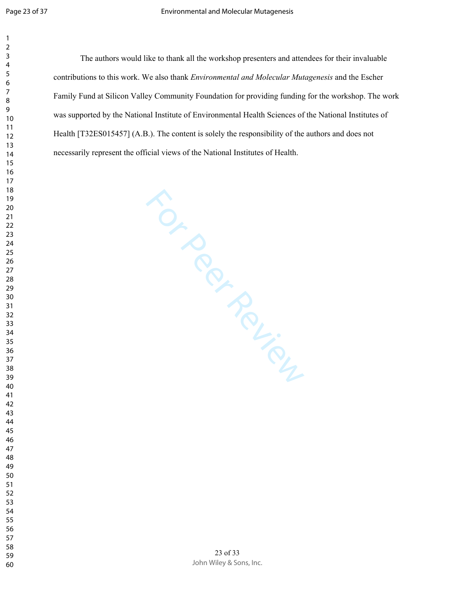The authors would like to thank all the workshop presenters and attendees for their invaluable contributions to this work. We also thank *Environmental and Molecular Mutagenesis* and the Escher Family Fund at Silicon Valley Community Foundation for providing funding for the workshop. The work was supported by the National Institute of Environmental Health Sciences of the National Institutes of Health [T32ES015457] (A.B.). The content is solely the responsibility of the authors and does not necessarily represent the official views of the National Institutes of Health.

For Per Review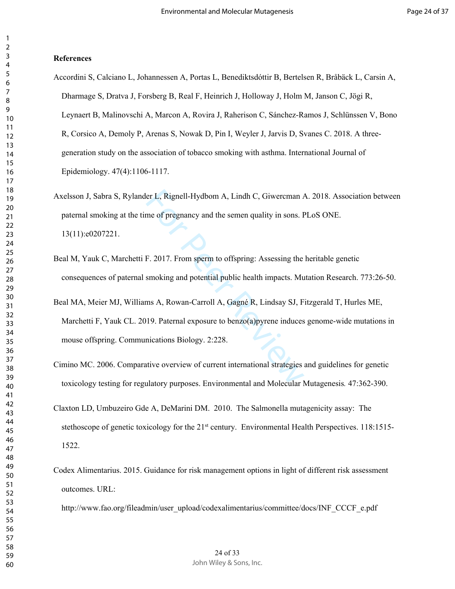### **References**

- Accordini S, Calciano L, Johannessen A, Portas L, Benediktsdóttir B, Bertelsen R, Bråbäck L, Carsin A, Dharmage S, Dratva J, Forsberg B, Real F, Heinrich J, Holloway J, Holm M, Janson C, Jögi R, Leynaert B, Malinovschi A, Marcon A, Rovira J, Raherison C, Sánchez-Ramos J, Schlünssen V, Bono R, Corsico A, Demoly P, Arenas S, Nowak D, Pin I, Weyler J, Jarvis D, Svanes C. 2018. A threegeneration study on the association of tobacco smoking with asthma. International Journal of Epidemiology. 47(4):1106-1117.
- Axelsson J, Sabra S, Rylander L, Rignell-Hydbom A, Lindh C, Giwercman A. 2018. Association between paternal smoking at the time of pregnancy and the semen quality in sons. PLoS ONE. 13(11):e0207221.
- Beal M, Yauk C, Marchetti F. 2017. From sperm to offspring: Assessing the heritable genetic consequences of paternal smoking and potential public health impacts. Mutation Research. 773:26-50.
- er L, Rignell-Hydbom A, Lindh C, Giwercman A<br>me of pregnancy and the semen quality in sons. F<br>F. 2017. From sperm to offspring: Assessing the<br>smoking and potential public health impacts. Mu<br>ms A, Rowan-Carroll A, Gagné R, Beal MA, Meier MJ, Williams A, Rowan-Carroll A, Gagné R, Lindsay SJ, Fitzgerald T, Hurles ME, Marchetti F, Yauk CL. 2019. Paternal exposure to benzo(a)pyrene induces genome-wide mutations in mouse offspring. Communications Biology. 2:228.
- Cimino MC. 2006. Comparative overview of current international strategies and guidelines for genetic toxicology testing for regulatory purposes. Environmental and Molecular Mutagenesis*.* 47:362-390.
- Claxton LD, Umbuzeiro Gde A, DeMarini DM. 2010. The Salmonella mutagenicity assay: The stethoscope of genetic toxicology for the 21<sup>st</sup> century. Environmental Health Perspectives. 118:1515-1522.
- Codex Alimentarius. 2015. Guidance for risk management options in light of different risk assessment outcomes. URL:

http://www.fao.org/fileadmin/user\_upload/codexalimentarius/committee/docs/INF\_CCCF\_e.pdf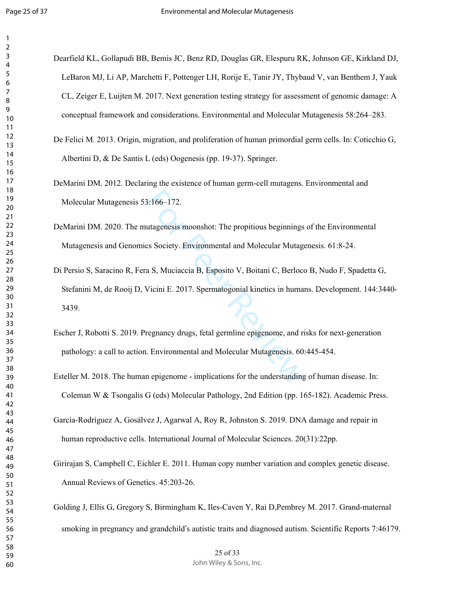Dearfield KL, Gollapudi BB, Bemis JC, Benz RD, Douglas GR, Elespuru RK, Johnson GE, Kirkland DJ, LeBaron MJ, Li AP, Marchetti F, Pottenger LH, Rorije E, Tanir JY, Thybaud V, van Benthem J, Yauk CL, Zeiger E, Luijten M. 2017. Next generation testing strategy for assessment of genomic damage: A conceptual framework and considerations. Environmental and Molecular Mutagenesis 58:264–283.

De Felici M. 2013. Origin, migration, and proliferation of human primordial germ cells. In: Coticchio G, Albertini D, & De Santis L (eds) Oogenesis (pp. 19-37). Springer.

DeMarini DM. 2012. Declaring the existence of human germ-cell mutagens. Environmental and Molecular Mutagenesis 53:166–172.

DeMarini DM. 2020. The mutagenesis moonshot: The propitious beginnings of the Environmental Mutagenesis and Genomics Society. Environmental and Molecular Mutagenesis. 61:8-24.

- 3:166–172.<br>
utagenesis moonshot: The propitious beginnings<br>
cs Society. Environmental and Molecular Mutage<br>
a S, Muciaccia B, Esposito V, Boitani C, Berloce<br>
Vicini E. 2017. Spermatogonial kinetics in huma<br>
regnancy drugs, Di Persio S, Saracino R, Fera S, Muciaccia B, Esposito V, Boitani C, Berloco B, Nudo F, Spadetta G, Stefanini M, de Rooij D, Vicini E. 2017. Spermatogonial kinetics in humans. Development. 144:3440- 3439.
- Escher J, Robotti S. 2019. Pregnancy drugs, fetal germline epigenome, and risks for next-generation pathology: a call to action. Environmental and Molecular Mutagenesis. 60:445-454.
- Esteller M. 2018. The human epigenome implications for the understanding of human disease. In: Coleman W & Tsongalis G (eds) Molecular Pathology, 2nd Edition (pp. 165-182). Academic Press.
- García-Rodríguez A, Gosálvez J, Agarwal A, Roy R, Johnston S. 2019. DNA damage and repair in human reproductive cells. International Journal of Molecular Sciences. 20(31):22pp.
- Girirajan S, Campbell C, Eichler E. 2011. Human copy number variation and complex genetic disease. Annual Reviews of Genetics. 45:203-26.

Golding J, Ellis G, Gregory S, Birmingham K, Iles-Caven Y, Rai D,Pembrey M. 2017. Grand-maternal smoking in pregnancy and grandchild's autistic traits and diagnosed autism. Scientific Reports 7:46179.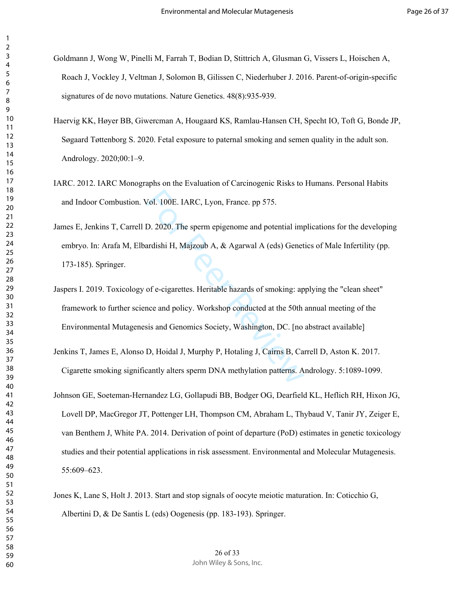- Goldmann J, Wong W, Pinelli M, Farrah T, Bodian D, Stittrich A, Glusman G, Vissers L, Hoischen A, Roach J, Vockley J, Veltman J, Solomon B, Gilissen C, Niederhuber J. 2016. Parent-of-origin-specific signatures of de novo mutations. Nature Genetics. 48(8):935-939.
- Haervig KK, Høyer BB, Giwercman A, Hougaard KS, Ramlau-Hansen CH, Specht IO, Toft G, Bonde JP, Søgaard Tøttenborg S. 2020. Fetal exposure to paternal smoking and semen quality in the adult son. Andrology. 2020;00:1–9.
- IARC. 2012. IARC Monographs on the Evaluation of Carcinogenic Risks to Humans. Personal Habits and Indoor Combustion. Vol. 100E. IARC, Lyon, France. pp 575.
- Vol. 100E. IARC, Lyon, France. pp 575.<br>
D. 2020. The sperm epigenome and potential impardishi H, Majzoub A, & Agarwal A (eds) Genet<br>
of e-cigarettes. Heritable hazards of smoking: ap<br>
noce and policy. Workshop conducted at James E, Jenkins T, Carrell D. 2020. The sperm epigenome and potential implications for the developing embryo. In: Arafa M, Elbardishi H, Majzoub A, & Agarwal A (eds) Genetics of Male Infertility (pp. 173-185). Springer.
- Jaspers I. 2019. Toxicology of e-cigarettes. Heritable hazards of smoking: applying the "clean sheet" framework to further science and policy. Workshop conducted at the 50th annual meeting of the Environmental Mutagenesis and Genomics Society, Washington, DC. [no abstract available]
- Jenkins T, James E, Alonso D, Hoidal J, Murphy P, Hotaling J, Cairns B, Carrell D, Aston K. 2017. Cigarette smoking significantly alters sperm DNA methylation patterns. Andrology. 5:1089-1099.
- Johnson GE, Soeteman-Hernandez LG, Gollapudi BB, Bodger OG, Dearfield KL, Heflich RH, Hixon JG, Lovell DP, MacGregor JT, Pottenger LH, Thompson CM, Abraham L, Thybaud V, Tanir JY, Zeiger E, van Benthem J, White PA. 2014. Derivation of point of departure (PoD) estimates in genetic toxicology studies and their potential applications in risk assessment. Environmental and Molecular Mutagenesis. 55:609–623.
- Jones K, Lane S, Holt J. 2013. Start and stop signals of oocyte meiotic maturation. In: Coticchio G, Albertini D, & De Santis L (eds) Oogenesis (pp. 183-193). Springer.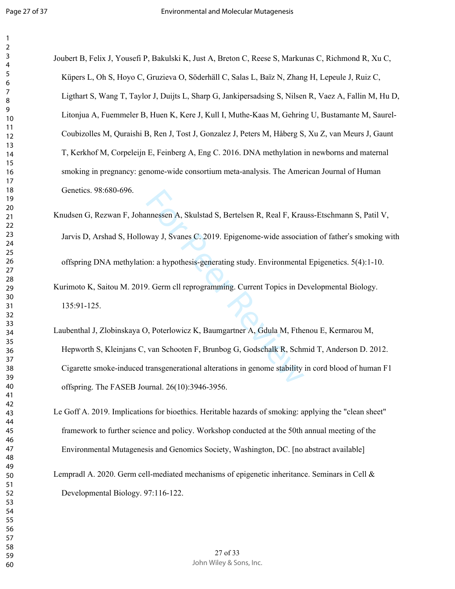| 1                            |
|------------------------------|
| 2                            |
| 3                            |
| 4                            |
| 5                            |
| 6                            |
|                              |
| 8                            |
| )                            |
| 10                           |
|                              |
| 1<br>1                       |
| $\mathbf{1}$<br>2            |
| 13                           |
| 1<br>4                       |
| 15                           |
| 16                           |
| 1                            |
| 18                           |
| 9<br>1                       |
| 20                           |
| $\overline{21}$              |
| $\overline{2}$<br>,          |
| $\overline{2}$<br>3          |
| $\overline{24}$              |
| 25                           |
|                              |
| 26                           |
| 27                           |
| $\overline{28}$              |
| 29                           |
| 30                           |
| $\overline{\textbf{3}}$      |
| $\overline{\mathbf{3}}$<br>, |
| $\overline{\mathbf{3}}$<br>ξ |
| 3.<br>4                      |
| 35                           |
| 36                           |
| 37                           |
| 88                           |
|                              |
| 39                           |
| 40                           |
| 41                           |
| 42                           |
| 43                           |
| 44                           |
| 45                           |
| 46                           |
| 47                           |
| 48                           |
| 49                           |
| 50                           |
| 51                           |
| 5.<br>2                      |
| 53                           |
|                              |
| 54                           |
| 55                           |
| 56                           |
| 57                           |
| 58                           |
| 59                           |
| 60                           |

Joubert B, Felix J, Yousefi P, Bakulski K, Just A, Breton C, Reese S, Markunas C, Richmond R, Xu C, Küpers L, Oh S, Hoyo C, Gruzieva O, Söderhäll C, Salas L, Baïz N, Zhang H, Lepeule J, Ruiz C, Ligthart S, Wang T, Taylor J, Duijts L, Sharp G, Jankipersadsing S, Nilsen R, Vaez A, Fallin M, Hu D, Litonjua A, Fuemmeler B, Huen K, Kere J, Kull I, Muthe-Kaas M, Gehring U, Bustamante M, Saurel-Coubizolles M, Quraishi B, Ren J, Tost J, Gonzalez J, Peters M, Håberg S, Xu Z, van Meurs J, Gaunt T, Kerkhof M, Corpeleijn E, Feinberg A, Eng C. 2016. DNA methylation in newborns and maternal smoking in pregnancy: genome-wide consortium meta-analysis. The American Journal of Human Genetics. 98:680-696.

mnessen A, Skulstad S, Bertelsen R, Real F, Kra<br>
way J, Svanes C. 2019. Epigenome-wide associa<br>
on: a hypothesis-generating study. Environmenta<br>
9. Germ cll reprogramming. Current Topics in De<br>
9. Poterlowicz K, Baumgartne Knudsen G, Rezwan F, Johannessen A, Skulstad S, Bertelsen R, Real F, Krauss-Etschmann S, Patil V, Jarvis D, Arshad S, Holloway J, Svanes C. 2019. Epigenome-wide association of father 's smoking with offspring DNA methylation: a hypothesis-generating study. Environmental Epigenetics. 5(4):1-10. Kurimoto K, Saitou M. 2019. Germ cll reprogramming. Current Topics in Developmental Biology. 135:91-125.

Laubenthal J, Zlobinskaya O, Poterlowicz K, Baumgartner A, Gdula M, Fthenou E, Kermarou M, Hepworth S, Kleinjans C, van Schooten F, Brunbog G, Godschalk R, Schmid T, Anderson D. 2012. Cigarette smoke-induced transgenerational alterations in genome stability in cord blood of human F1 offspring. The FASEB Journal. 26(10):3946-3956.

Le Goff A. 2019. Implications for bioethics. Heritable hazards of smoking: applying the "clean sheet" framework to further science and policy. Workshop conducted at the 50th annual meeting of the Environmental Mutagenesis and Genomics Society, Washington, DC. [no abstract available]

Lempradl A. 2020. Germ cell-mediated mechanisms of epigenetic inheritance. Seminars in Cell & Developmental Biology. 97:116-122.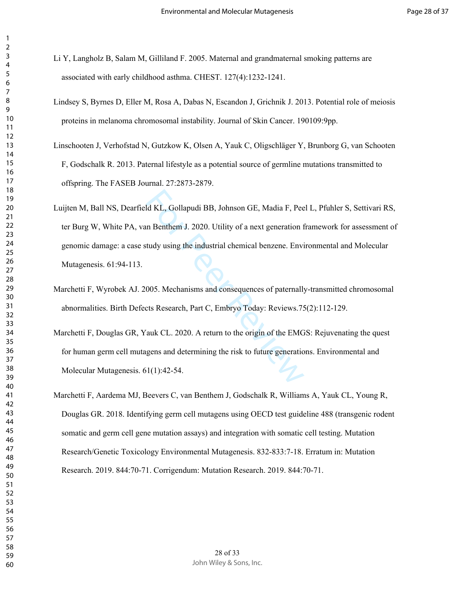- Li Y, Langholz B, Salam M, Gilliland F. 2005. Maternal and grandmaternal smoking patterns are associated with early childhood asthma. CHEST. 127(4):1232-1241.
- Lindsey S, Byrnes D, Eller M, Rosa A, Dabas N, Escandon J, Grichnik J. 2013. Potential role of meiosis proteins in melanoma chromosomal instability. Journal of Skin Cancer. 190109:9pp.
- Linschooten J, Verhofstad N, Gutzkow K, Olsen A, Yauk C, Oligschläger Y, Brunborg G, van Schooten F, Godschalk R. 2013. Paternal lifestyle as a potential source of germline mutations transmitted to offspring. The FASEB Journal. 27:2873-2879.
- Id KL, Gollapudi BB, Johnson GE, Madia F, Pee<br>
In Benthem J. 2020. Utility of a next generation f<br>
tudy using the industrial chemical benzene. Envi<br>
1005. Mechanisms and consequences of paternally<br>
1005. Mechanisms and con Luijten M, Ball NS, Dearfield KL, Gollapudi BB, Johnson GE, Madia F, Peel L, Pfuhler S, Settivari RS, ter Burg W, White PA, van Benthem J. 2020. Utility of a next generation framework for assessment of genomic damage: a case study using the industrial chemical benzene. Environmental and Molecular Mutagenesis. 61:94-113.
- Marchetti F, Wyrobek AJ. 2005. Mechanisms and consequences of paternally-transmitted chromosomal abnormalities. Birth Defects Research, Part C, Embryo Today: Reviews.75(2):112-129.
- Marchetti F, Douglas GR, Yauk CL. 2020. A return to the origin of the EMGS: Rejuvenating the quest for human germ cell mutagens and determining the risk to future generations. Environmental and Molecular Mutagenesis. 61(1):42-54.
- Marchetti F, Aardema MJ, Beevers C, van Benthem J, Godschalk R, Williams A, Yauk CL, Young R, Douglas GR. 2018. Identifying germ cell mutagens using OECD test guideline 488 (transgenic rodent somatic and germ cell gene mutation assays) and integration with somatic cell testing. Mutation Research/Genetic Toxicology Environmental Mutagenesis. 832-833:7-18. Erratum in: Mutation Research. 2019. 844:70-71. Corrigendum: Mutation Research. 2019. 844:70-71.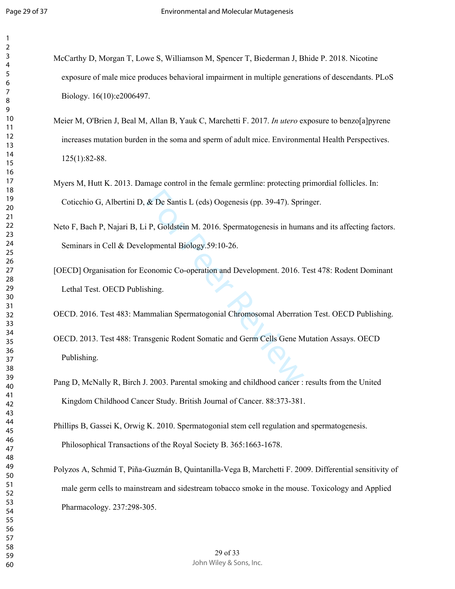McCarthy D, Morgan T, Lowe S, Williamson M, Spencer T, Biederman J, Bhide P. 2018. Nicotine exposure of male mice produces behavioral impairment in multiple generations of descendants. PLoS Biology. 16(10):e2006497.

- Meier M, O'Brien J, Beal M, Allan B, Yauk C, Marchetti F. 2017. *In utero* exposure to benzo[a]pyrene increases mutation burden in the soma and sperm of adult mice. Environmental Health Perspectives. 125(1):82-88.
- Myers M, Hutt K. 2013. Damage control in the female germline: protecting primordial follicles. In: Coticchio G, Albertini D, & De Santis L (eds) Oogenesis (pp. 39-47). Springer.
- Neto F, Bach P, Najari B, Li P, Goldstein M. 2016. Spermatogenesis in humans and its affecting factors. Seminars in Cell & Developmental Biology.59:10-26.
- [OECD] Organisation for Economic Co-operation and Development. 2016. Test 478: Rodent Dominant Lethal Test. OECD Publishing.
- OECD. 2016. Test 483: Mammalian Spermatogonial Chromosomal Aberration Test. OECD Publishing.
- & De Santis L (eds) Oogenesis (pp. 39-47). Spri<br>
i P, Goldstein M. 2016. Spermatogenesis in huma<br>
opmental Biology.59:10-26.<br>
conomic Co-operation and Development. 2016. T<br>
shing.<br>
mmalian Spermatogonial Chromosomal Aberra OECD. 2013. Test 488: Transgenic Rodent Somatic and Germ Cells Gene Mutation Assays. OECD Publishing.
- Pang D, McNally R, Birch J. 2003. Parental smoking and childhood cancer : results from the United Kingdom Childhood Cancer Study. British Journal of Cancer. 88:373-381.
- Phillips B, Gassei K, Orwig K. 2010. Spermatogonial stem cell regulation and spermatogenesis. Philosophical Transactions of the Royal Society B. 365:1663-1678.
- Polyzos A, Schmid T, Piña-Guzmán B, Quintanilla-Vega B, Marchetti F. 2009. Differential sensitivity of male germ cells to mainstream and sidestream tobacco smoke in the mouse. Toxicology and Applied Pharmacology. 237:298-305.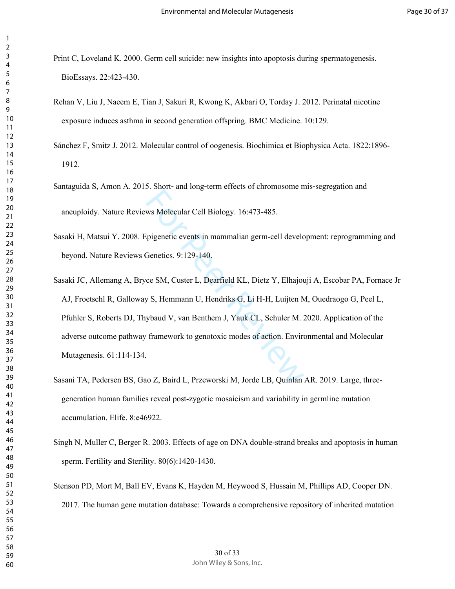- Print C, Loveland K. 2000. Germ cell suicide: new insights into apoptosis during spermatogenesis. BioEssays. 22:423-430.
- Rehan V, Liu J, Naeem E, Tian J, Sakuri R, Kwong K, Akbari O, Torday J. 2012. Perinatal nicotine exposure induces asthma in second generation offspring. BMC Medicine. 10:129.
- Sánchez F, Smitz J. 2012. Molecular control of oogenesis. Biochimica et Biophysica Acta. 1822:1896- 1912.
- Santaguida S, Amon A. 2015. Short‐ and long‐term effects of chromosome mis‐segregation and aneuploidy. Nature Reviews Molecular Cell Biology. 16:473-485.
- Sasaki H, Matsui Y. 2008. Epigenetic events in mammalian germ-cell development: reprogramming and beyond. Nature Reviews Genetics. 9:129-140.
- Eventure and the US of the Materian or Way Molecular Cell Biology. 16:473-485.<br>
Spigenetic events in mammalian germ-cell develocies.<br>
9:129-140.<br>
Ce SM, Custer L, Dearfield KL, Dietz Y, Elhajou<br>
9 S, Hemmann U, Hendriks G, Sasaki JC, Allemang A, Bryce SM, Custer L, Dearfield KL, Dietz Y, Elhajouji A, Escobar PA, Fornace Jr AJ, Froetschl R, Galloway S, Hemmann U, Hendriks G, Li H-H, Luijten M, Ouedraogo G, Peel L, Pfuhler S, Roberts DJ, Thybaud V, van Benthem J, Yauk CL, Schuler M. 2020. Application of the adverse outcome pathway framework to genotoxic modes of action. Environmental and Molecular Mutagenesis. 61:114-134.
- Sasani TA, Pedersen BS, Gao Z, Baird L, Przeworski M, Jorde LB, Quinlan AR. 2019. Large, threegeneration human families reveal post-zygotic mosaicism and variability in germline mutation accumulation. Elife. 8:e46922.
- Singh N, Muller C, Berger R. 2003. Effects of age on DNA double-strand breaks and apoptosis in human sperm. Fertility and Sterility. 80(6):1420-1430.
- Stenson PD, Mort M, Ball EV, Evans K, Hayden M, Heywood S, Hussain M, Phillips AD, Cooper DN. 2017. The human gene mutation database: Towards a comprehensive repository of inherited mutation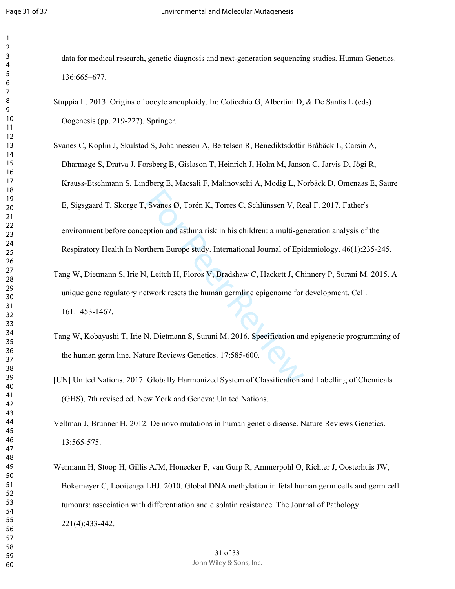data for medical research, genetic diagnosis and next-generation sequencing studies. Human Genetics. 136:665–677.

- Stuppia L. 2013. Origins of oocyte aneuploidy. In: Coticchio G, Albertini D, & De Santis L (eds) Oogenesis (pp. 219-227). Springer.
- Svanes Ø, Torén K, Torres C, Schlünssen V, Re<br>ption and asthma risk in his children: a multi-ger<br>thern Europe study. International Journal of Epic<br>, Leitch H, Floros V, Bradshaw C, Hackett J, Ch<br>stwork resets the human ger Svanes C, Koplin J, Skulstad S, Johannessen A, Bertelsen R, Benediktsdottir Bråbäck L, Carsin A, Dharmage S, Dratva J, Forsberg B, Gislason T, Heinrich J, Holm M, Janson C, Jarvis D, Jögi R, Krauss-Etschmann S, Lindberg E, Macsali F, Malinovschi A, Modig L, Norbäck D, Omenaas E, Saure E, Sigsgaard T, Skorge T, Svanes Ø, Torén K, Torres C, Schlünssen V, Real F. 2017. Father 's environment before conception and asthma risk in his children: a multi-generation analysis of the Respiratory Health In Northern Europe study. International Journal of Epidemiology. 46(1):235-245.
- Tang W, Dietmann S, Irie N, Leitch H, Floros V, Bradshaw C, Hackett J, Chinnery P, Surani M. 2015. A unique gene regulatory network resets the human germline epigenome for development. Cell. 161:1453-1467.
- Tang W, Kobayashi T, Irie N, Dietmann S, Surani M. 2016. Specification and epigenetic programming of the human germ line. Nature Reviews Genetics. 17:585-600.
- [UN] United Nations. 2017. Globally Harmonized System of Classification and Labelling of Chemicals (GHS), 7th revised ed. New York and Geneva: United Nations.

Veltman J, Brunner H. 2012. De novo mutations in human genetic disease. Nature Reviews Genetics. 13:565-575.

Wermann H, Stoop H, Gillis AJM, Honecker F, van Gurp R, Ammerpohl O, Richter J, Oosterhuis JW, Bokemeyer C, Looijenga LHJ. 2010. Global DNA methylation in fetal human germ cells and germ cell tumours: association with differentiation and cisplatin resistance. The Journal of Pathology. 221(4):433-442.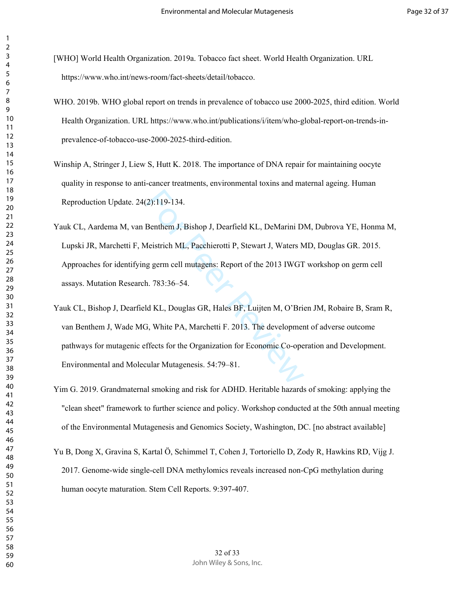- [WHO] World Health Organization. 2019a. Tobacco fact sheet. World Health Organization. URL https://www.who.int/news-room/fact-sheets/detail/tobacco.
- WHO. 2019b. WHO global report on trends in prevalence of tobacco use 2000-2025, third edition. World Health Organization. URL https://www.who.int/publications/i/item/who-global-report-on-trends-inprevalence-of-tobacco-use-2000-2025-third-edition.
- Winship A, Stringer J, Liew S, Hutt K. 2018. The importance of DNA repair for maintaining oocyte quality in response to anti-cancer treatments, environmental toxins and maternal ageing. Human Reproduction Update. 24(2):119-134.
- 2):119-134.<br>Benthem J, Bishop J, Dearfield KL, DeMarini D!<br>Aeistrich ML, Pacchierotti P, Stewart J, Waters M<br>g germ cell mutagens: Report of the 2013 IWGT<br>1. 783:36–54.<br>Id KL, Douglas GR, Hales BF, Luijten M, O'Bric<br>5, Whi Yauk CL, Aardema M, van Benthem J, Bishop J, Dearfield KL, DeMarini DM, Dubrova YE, Honma M, Lupski JR, Marchetti F, Meistrich ML, Pacchierotti P, Stewart J, Waters MD, Douglas GR. 2015. Approaches for identifying germ cell mutagens: Report of the 2013 IWGT workshop on germ cell assays. Mutation Research. 783:36–54.
- Yauk CL, Bishop J, Dearfield KL, Douglas GR, Hales BF, Luijten M, O'Brien JM, Robaire B, Sram R, van Benthem J, Wade MG, White PA, Marchetti F. 2013. The development of adverse outcome pathways for mutagenic effects for the Organization for Economic Co-operation and Development. Environmental and Molecular Mutagenesis. 54:79–81.
- Yim G. 2019. Grandmaternal smoking and risk for ADHD. Heritable hazards of smoking: applying the "clean sheet" framework to further science and policy. Workshop conducted at the 50th annual meeting of the Environmental Mutagenesis and Genomics Society, Washington, DC. [no abstract available]
- Yu B, Dong X, Gravina S, Kartal Ö, Schimmel T, Cohen J, Tortoriello D, Zody R, Hawkins RD, Vijg J. 2017. Genome-wide single-cell DNA methylomics reveals increased non-CpG methylation during human oocyte maturation. Stem Cell Reports. 9:397-407.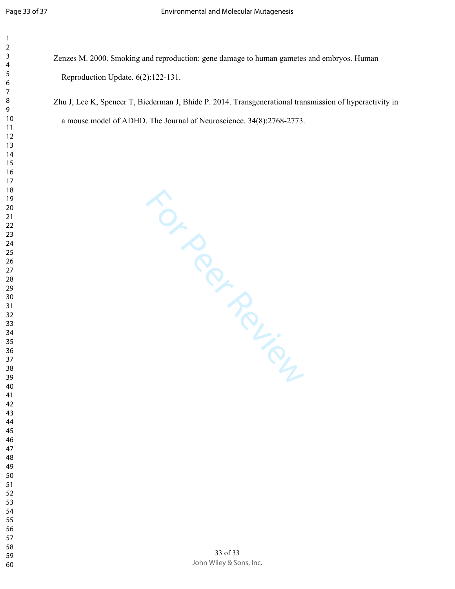- $\mathbf{1}$   $\overline{2}$  $\overline{4}$  $\overline{7}$
- 
- 
- 

Zenzes M. 2000. Smoking and reproduction: gene damage to human gametes and embryos. Human Reproduction Update. 6(2):122-131.

Zhu J, Lee K, Spencer T, Biederman J, Bhide P. 2014. Transgenerational transmission of hyperactivity in a mouse model of ADHD. The Journal of Neuroscience. 34(8):2768-2773.

For Perincipal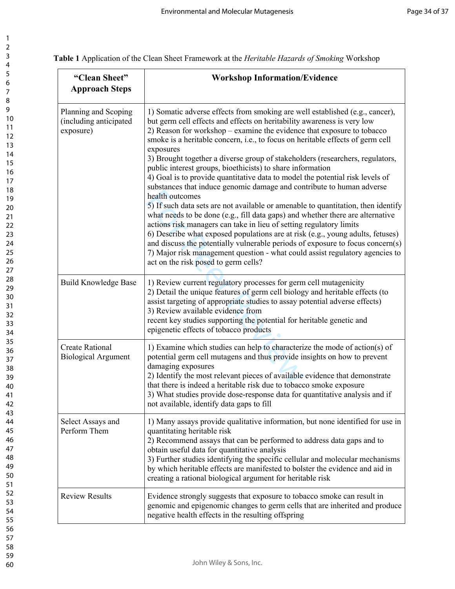| 2                   |
|---------------------|
| 3                   |
|                     |
| 4                   |
| 5                   |
| 6                   |
| 7                   |
| 8                   |
|                     |
| 9                   |
| 10                  |
| 1<br>1              |
| $\overline{c}$<br>1 |
| 3                   |
| 1                   |
| $\overline{14}$     |
| 15                  |
| 16                  |
| 17                  |
|                     |
| 18                  |
| 19                  |
| 20                  |
| $\overline{21}$     |
| $\overline{2}$      |
|                     |
| 23                  |
| 24                  |
| 25                  |
| 26                  |
| 27                  |
|                     |
| 28                  |
| 29                  |
| 30                  |
| 31                  |
| 32                  |
|                     |
| 33                  |
| 34                  |
| 35                  |
| 36                  |
| 37                  |
|                     |
| 38                  |
| 9<br>}!             |
| 40                  |
| 41                  |
| 42                  |
|                     |
| 43                  |
| 44                  |
| 45                  |
| 46                  |
| 47                  |
| 48                  |
|                     |
| 49                  |
| 50                  |
| 51                  |
| 52                  |
| 53                  |
|                     |
| 54                  |
| 55                  |
| 56                  |
| 57                  |
| 58                  |
|                     |
| 59                  |
| 60                  |

**Table 1** Application of the Clean Sheet Framework at the *Heritable Hazards of Smoking* Workshop

| "Clean Sheet"<br><b>Approach Steps</b>                      | <b>Workshop Information/Evidence</b>                                                                                                                                                                                                                                                                                                                                                                                                                                                                                                                                                                                                                                                                                                                                                                                                                                                                                                                                                                                                                                                                                                                                                                   |  |  |  |
|-------------------------------------------------------------|--------------------------------------------------------------------------------------------------------------------------------------------------------------------------------------------------------------------------------------------------------------------------------------------------------------------------------------------------------------------------------------------------------------------------------------------------------------------------------------------------------------------------------------------------------------------------------------------------------------------------------------------------------------------------------------------------------------------------------------------------------------------------------------------------------------------------------------------------------------------------------------------------------------------------------------------------------------------------------------------------------------------------------------------------------------------------------------------------------------------------------------------------------------------------------------------------------|--|--|--|
| Planning and Scoping<br>(including anticipated<br>exposure) | 1) Somatic adverse effects from smoking are well established (e.g., cancer),<br>but germ cell effects and effects on heritability awareness is very low<br>2) Reason for workshop – examine the evidence that exposure to tobacco<br>smoke is a heritable concern, i.e., to focus on heritable effects of germ cell<br>exposures<br>3) Brought together a diverse group of stakeholders (researchers, regulators,<br>public interest groups, bioethicists) to share information<br>4) Goal is to provide quantitative data to model the potential risk levels of<br>substances that induce genomic damage and contribute to human adverse<br>health outcomes<br>5) If such data sets are not available or amenable to quantitation, then identify<br>what needs to be done (e.g., fill data gaps) and whether there are alternative<br>actions risk managers can take in lieu of setting regulatory limits<br>6) Describe what exposed populations are at risk (e.g., young adults, fetuses)<br>and discuss the potentially vulnerable periods of exposure to focus concern(s)<br>7) Major risk management question - what could assist regulatory agencies to<br>act on the risk posed to germ cells? |  |  |  |
| <b>Build Knowledge Base</b>                                 | 1) Review current regulatory processes for germ cell mutagenicity<br>2) Detail the unique features of germ cell biology and heritable effects (to<br>assist targeting of appropriate studies to assay potential adverse effects)<br>3) Review available evidence from<br>recent key studies supporting the potential for heritable genetic and<br>epigenetic effects of tobacco products                                                                                                                                                                                                                                                                                                                                                                                                                                                                                                                                                                                                                                                                                                                                                                                                               |  |  |  |
| <b>Create Rational</b><br><b>Biological Argument</b>        | 1) Examine which studies can help to characterize the mode of action(s) of<br>potential germ cell mutagens and thus provide insights on how to prevent<br>damaging exposures<br>2) Identify the most relevant pieces of available evidence that demonstrate<br>that there is indeed a heritable risk due to tobacco smoke exposure<br>3) What studies provide dose-response data for quantitative analysis and if<br>not available, identify data gaps to fill                                                                                                                                                                                                                                                                                                                                                                                                                                                                                                                                                                                                                                                                                                                                         |  |  |  |
| Select Assays and<br>Perform Them                           | 1) Many assays provide qualitative information, but none identified for use in<br>quantitating heritable risk<br>2) Recommend assays that can be performed to address data gaps and to<br>obtain useful data for quantitative analysis<br>3) Further studies identifying the specific cellular and molecular mechanisms<br>by which heritable effects are manifested to bolster the evidence and aid in<br>creating a rational biological argument for heritable risk                                                                                                                                                                                                                                                                                                                                                                                                                                                                                                                                                                                                                                                                                                                                  |  |  |  |
| <b>Review Results</b>                                       | Evidence strongly suggests that exposure to tobacco smoke can result in<br>genomic and epigenomic changes to germ cells that are inherited and produce<br>negative health effects in the resulting offspring                                                                                                                                                                                                                                                                                                                                                                                                                                                                                                                                                                                                                                                                                                                                                                                                                                                                                                                                                                                           |  |  |  |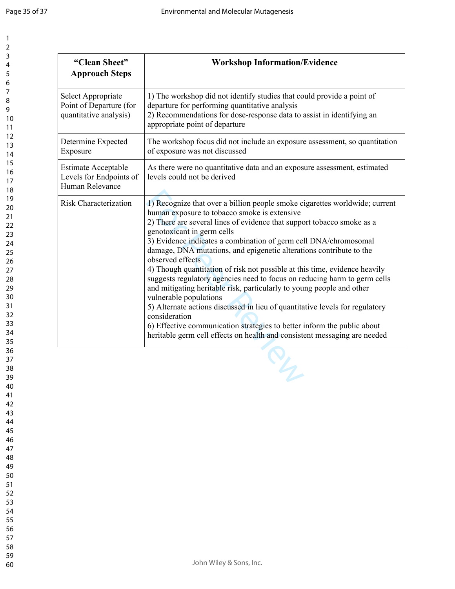**"Clean Sheet"** 

**Workshop Information/Evidence**

| 1<br>$\overline{c}$<br>3    |  |
|-----------------------------|--|
| 4<br>5                      |  |
| 6<br>7<br>8                 |  |
| 9<br>10                     |  |
| 11<br>$\overline{12}$<br>13 |  |
| $\overline{14}$<br>15       |  |
| 16<br>17<br>18              |  |
| 19<br>$\overline{20}$       |  |
| $\overline{21}$<br>22       |  |
| 23<br>24<br>25              |  |
| 26<br>27                    |  |
| 28<br>29<br>30              |  |
| 31<br>32                    |  |
| 33<br>34<br>35              |  |
| 36<br>37                    |  |
| R۶<br>39<br>40              |  |
| 41<br>42                    |  |
| 43<br>44<br>45              |  |
| 46<br>47                    |  |
| 48<br>49<br>50              |  |
| 51<br>52                    |  |
| 53<br>54<br>55              |  |
| 56<br>57                    |  |
| 58                          |  |

59 60

| <b>Approach Steps</b>                                                    |                                                                                                                                                                                                                                                                                                                                                                                                                                                                                                                                                                                                                                                                                                                                                                                                                                                                                                                           |
|--------------------------------------------------------------------------|---------------------------------------------------------------------------------------------------------------------------------------------------------------------------------------------------------------------------------------------------------------------------------------------------------------------------------------------------------------------------------------------------------------------------------------------------------------------------------------------------------------------------------------------------------------------------------------------------------------------------------------------------------------------------------------------------------------------------------------------------------------------------------------------------------------------------------------------------------------------------------------------------------------------------|
| Select Appropriate<br>Point of Departure (for<br>quantitative analysis)  | 1) The workshop did not identify studies that could provide a point of<br>departure for performing quantitative analysis<br>2) Recommendations for dose-response data to assist in identifying an<br>appropriate point of departure                                                                                                                                                                                                                                                                                                                                                                                                                                                                                                                                                                                                                                                                                       |
| Determine Expected<br>Exposure                                           | The workshop focus did not include an exposure assessment, so quantitation<br>of exposure was not discussed                                                                                                                                                                                                                                                                                                                                                                                                                                                                                                                                                                                                                                                                                                                                                                                                               |
| <b>Estimate Acceptable</b><br>Levels for Endpoints of<br>Human Relevance | As there were no quantitative data and an exposure assessment, estimated<br>levels could not be derived                                                                                                                                                                                                                                                                                                                                                                                                                                                                                                                                                                                                                                                                                                                                                                                                                   |
| <b>Risk Characterization</b>                                             | 1) Recognize that over a billion people smoke cigarettes worldwide; current<br>human exposure to tobacco smoke is extensive<br>2) There are several lines of evidence that support tobacco smoke as a<br>genotoxicant in germ cells<br>3) Evidence indicates a combination of germ cell DNA/chromosomal<br>damage, DNA mutations, and epigenetic alterations contribute to the<br>observed effects<br>4) Though quantitation of risk not possible at this time, evidence heavily<br>suggests regulatory agencies need to focus on reducing harm to germ cells<br>and mitigating heritable risk, particularly to young people and other<br>vulnerable populations<br>5) Alternate actions discussed in lieu of quantitative levels for regulatory<br>consideration<br>6) Effective communication strategies to better inform the public about<br>heritable germ cell effects on health and consistent messaging are needed |
|                                                                          | L                                                                                                                                                                                                                                                                                                                                                                                                                                                                                                                                                                                                                                                                                                                                                                                                                                                                                                                         |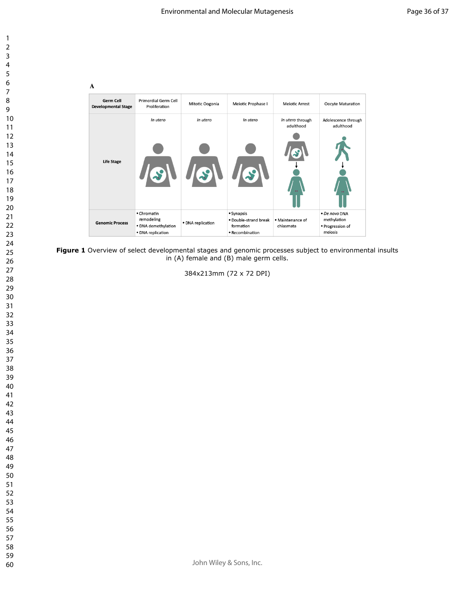

| $\mathbf{A}$                            |                                                                       |                           |                                                                     |                               |                                                             |
|-----------------------------------------|-----------------------------------------------------------------------|---------------------------|---------------------------------------------------------------------|-------------------------------|-------------------------------------------------------------|
| Germ Cell<br><b>Developmental Stage</b> | <b>Primordial Germ Cell</b><br>Proliferation                          | Mitotic Oogonia           | Meiotic Prophase I                                                  | <b>Meiotic Arrest</b>         | Oocyte Maturation                                           |
| <b>Life Stage</b>                       | In utero<br>$\mathcal{S}$                                             | In utero<br>$\mathcal{S}$ | In utero                                                            | In utero through<br>adulthood | Adolescence through<br>adulthood                            |
| <b>Genomic Process</b>                  | • Chromatin<br>remodeling<br>· DNA demethylation<br>· DNA replication | · DNA replication         | • Synapsis<br>· Double-strand break<br>formation<br>• Recombination | • Maintenance of<br>chiasmata | · De novo DNA<br>methylation<br>· Progression of<br>meiosis |

**Figure 1** Overview of select developmental stages and genomic processes subject to environmental insults in (A) female and (B) male germ cells.

384x213mm (72 x 72 DPI)